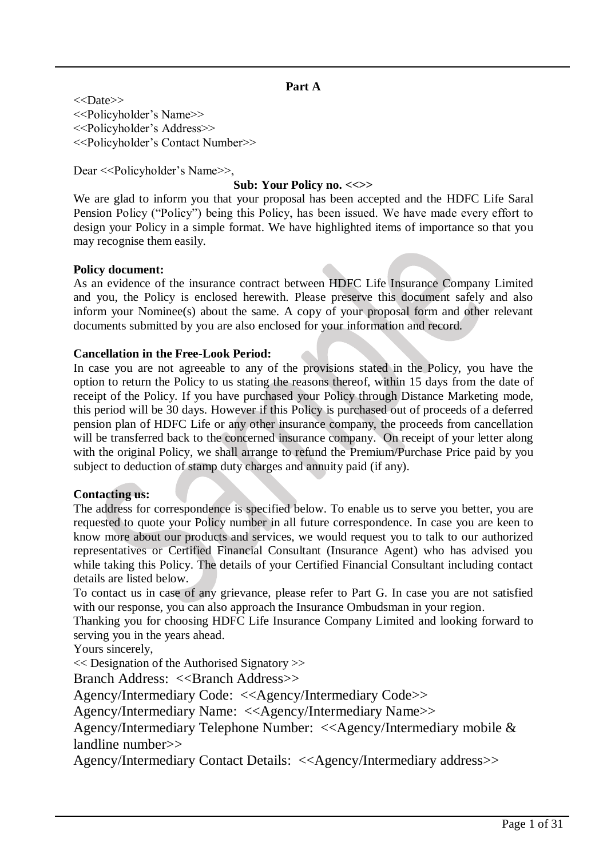#### **Part A**

<<Date>> <<Policyholder's Name>> <<Policyholder's Address>> <<Policyholder's Contact Number>>

Dear <<Policyholder's Name>>,

### **Sub: Your Policy no. <<>>**

We are glad to inform you that your proposal has been accepted and the HDFC Life Saral Pension Policy ("Policy") being this Policy, has been issued. We have made every effort to design your Policy in a simple format. We have highlighted items of importance so that you may recognise them easily.

#### **Policy document:**

As an evidence of the insurance contract between HDFC Life Insurance Company Limited and you, the Policy is enclosed herewith. Please preserve this document safely and also inform your Nominee(s) about the same. A copy of your proposal form and other relevant documents submitted by you are also enclosed for your information and record.

#### **Cancellation in the Free-Look Period:**

In case you are not agreeable to any of the provisions stated in the Policy, you have the option to return the Policy to us stating the reasons thereof, within 15 days from the date of receipt of the Policy. If you have purchased your Policy through Distance Marketing mode, this period will be 30 days. However if this Policy is purchased out of proceeds of a deferred pension plan of HDFC Life or any other insurance company, the proceeds from cancellation will be transferred back to the concerned insurance company. On receipt of your letter along with the original Policy, we shall arrange to refund the Premium/Purchase Price paid by you subject to deduction of stamp duty charges and annuity paid (if any).

### **Contacting us:**

The address for correspondence is specified below. To enable us to serve you better, you are requested to quote your Policy number in all future correspondence. In case you are keen to know more about our products and services, we would request you to talk to our authorized representatives or Certified Financial Consultant (Insurance Agent) who has advised you while taking this Policy. The details of your Certified Financial Consultant including contact details are listed below.

To contact us in case of any grievance, please refer to Part G. In case you are not satisfied with our response, you can also approach the Insurance Ombudsman in your region.

Thanking you for choosing HDFC Life Insurance Company Limited and looking forward to serving you in the years ahead.

Yours sincerely,

<< Designation of the Authorised Signatory >>

Branch Address: <<Br/>SRranch Address>>

Agency/Intermediary Code: <<Agency/Intermediary Code>>

Agency/Intermediary Name: <<Agency/Intermediary Name>>

Agency/Intermediary Telephone Number: <<Agency/Intermediary mobile & landline number>>

Agency/Intermediary Contact Details: <<Agency/Intermediary address>>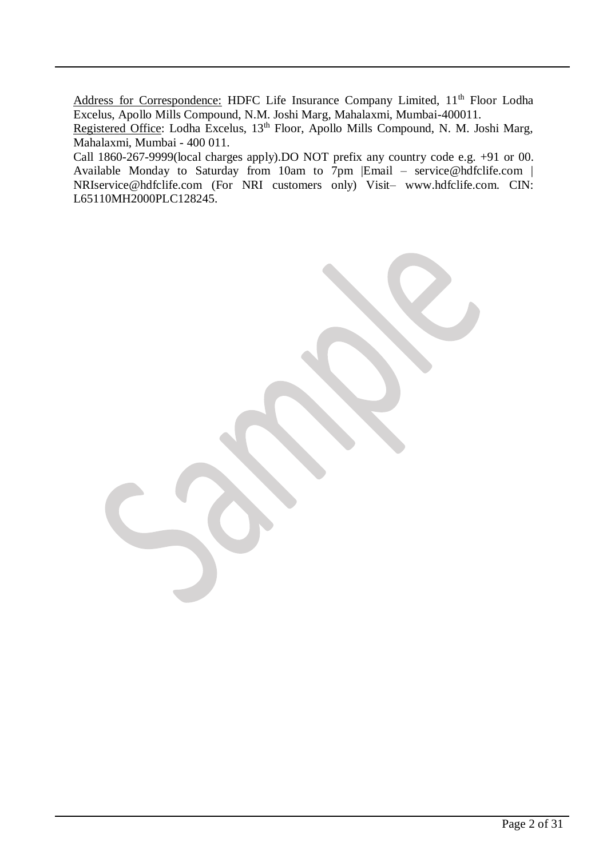Address for Correspondence: HDFC Life Insurance Company Limited, 11<sup>th</sup> Floor Lodha Excelus, Apollo Mills Compound, N.M. Joshi Marg, Mahalaxmi, Mumbai-400011.

Registered Office: Lodha Excelus, 13<sup>th</sup> Floor, Apollo Mills Compound, N. M. Joshi Marg, Mahalaxmi, Mumbai - 400 011.

Call 1860-267-9999(local charges apply).DO NOT prefix any country code e.g. +91 or 00. Available Monday to Saturday from 10am to  $7 \text{pm}$  |Email – [service@hdfclife.com](mailto:service@hdfclife.com) | [NRIservice@hdfclife.com](mailto:NRIservice@hdfclife.com) (For NRI customers only) Visit– [www.hdfclife.com.](http://www.hdfclife.com/) CIN: L65110MH2000PLC128245.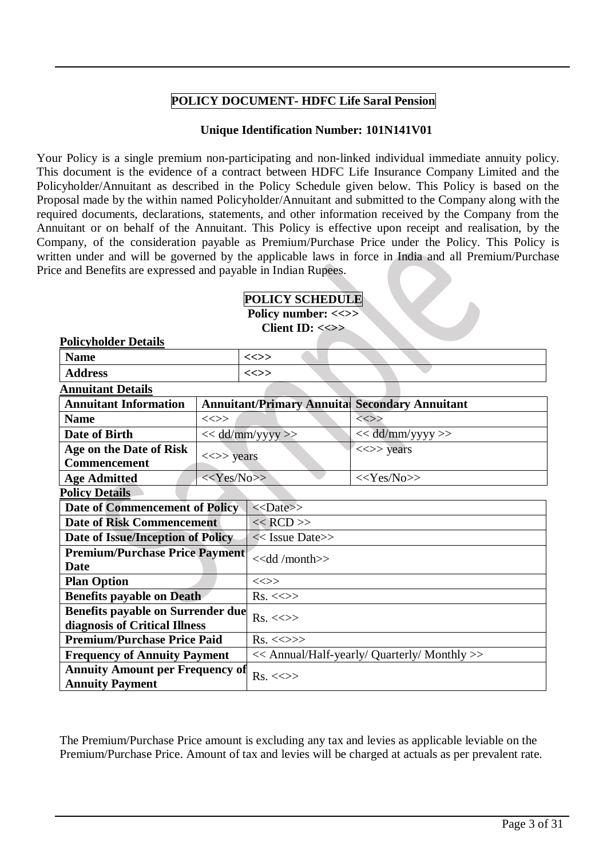## **POLICY DOCUMENT- HDFC Life Saral Pension**

#### **Unique Identification Number: 101N141V01**

Your Policy is a single premium non-participating and non-linked individual immediate annuity policy. This document is the evidence of a contract between HDFC Life Insurance Company Limited and the Policyholder/Annuitant as described in the Policy Schedule given below. This Policy is based on the Proposal made by the within named Policyholder/Annuitant and submitted to the Company along with the required documents, declarations, statements, and other information received by the Company from the Annuitant or on behalf of the Annuitant. This Policy is effective upon receipt and realisation, by the Company, of the consideration payable as Premium/Purchase Price under the Policy. This Policy is written under and will be governed by the applicable laws in force in India and all Premium/Purchase Price and Benefits are expressed and payable in Indian Rupees.

|--|

**Policy number: <<>>**

**Client ID: <<>>**

| <b>Policyholder Details</b>                                                         |                                              |                                   |                            |  |
|-------------------------------------------------------------------------------------|----------------------------------------------|-----------------------------------|----------------------------|--|
| <b>Name</b>                                                                         |                                              | $\iff$                            |                            |  |
| <b>Address</b>                                                                      |                                              | $\iff$                            |                            |  |
| <b>Annuitant Details</b>                                                            |                                              |                                   |                            |  |
| <b>Annuitant Information</b>                                                        |                                              | <b>Annuitant/Primary Annuital</b> | <b>Secondary Annuitant</b> |  |
| <b>Name</b>                                                                         | $\text{}\text{}\text{}\text{}\text{}\text{}$ |                                   | $\iff$                     |  |
| Date of Birth                                                                       |                                              | << dd/mm/yyyy >>                  | << dd/mm/yyyy >>           |  |
| Age on the Date of Risk                                                             |                                              |                                   | $\iff$ years               |  |
| <b>Commencement</b>                                                                 | $\langle \langle \rangle \rangle$ years      |                                   |                            |  |
| <b>Age Admitted</b>                                                                 | $<<$ Yes/No>>                                | $<<$ Yes/No>>                     |                            |  |
| <b>Policy Details</b>                                                               |                                              |                                   |                            |  |
| Date of Commencement of Policy                                                      |                                              | $<<$ Date>>                       |                            |  |
| <b>Date of Risk Commencement</b>                                                    |                                              | $<<$ RCD $>>$                     |                            |  |
| Date of Issue/Inception of Policy                                                   |                                              | << Issue Date>>                   |                            |  |
| <b>Premium/Purchase Price Payment</b>                                               |                                              | $<<$ dd /month $>>$               |                            |  |
| <b>Date</b>                                                                         |                                              |                                   |                            |  |
| <b>Plan Option</b>                                                                  |                                              | $\text{<}\text{>}$                |                            |  |
| <b>Benefits payable on Death</b>                                                    |                                              | $Rs. \ll\gg$                      |                            |  |
| <b>Benefits payable on Surrender due</b>                                            |                                              | $Rs. \ll\gg$                      |                            |  |
| diagnosis of Critical Illness                                                       |                                              |                                   |                            |  |
| <b>Premium/Purchase Price Paid</b>                                                  |                                              | $Rs. \ll\gg\gg$                   |                            |  |
| <b>Frequency of Annuity Payment</b><br><< Annual/Half-yearly/ Quarterly/ Monthly >> |                                              |                                   |                            |  |
| <b>Annuity Amount per Frequency of</b><br>$Rs. < \gg$<br><b>Annuity Payment</b>     |                                              |                                   |                            |  |

The Premium/Purchase Price amount is excluding any tax and levies as applicable leviable on the Premium/Purchase Price. Amount of tax and levies will be charged at actuals as per prevalent rate.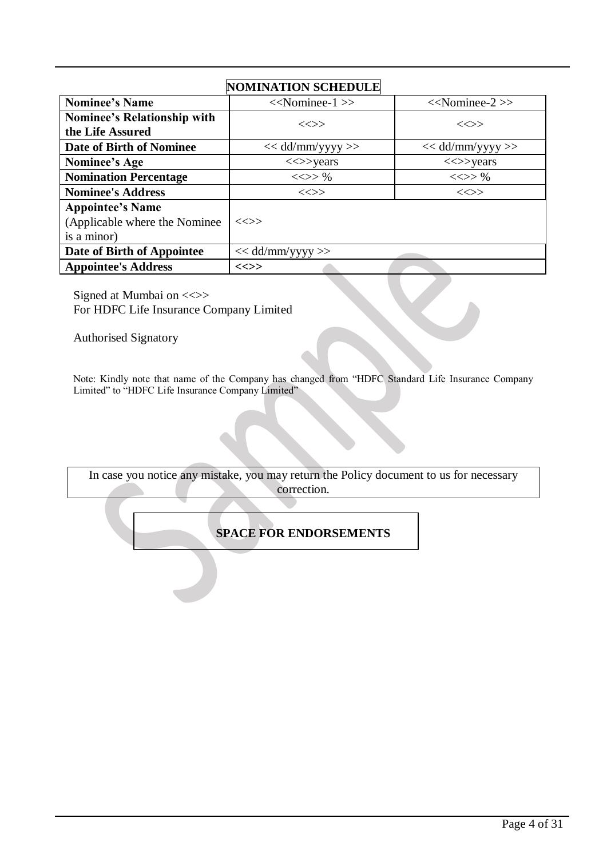# **NOMINATION SCHEDULE**

| <b>Nominee's Name</b>                                                   | $<<$ Nominee-1 $>>$                     | $<<$ Nominee-2 $>>$                     |
|-------------------------------------------------------------------------|-----------------------------------------|-----------------------------------------|
| <b>Nominee's Relationship with</b>                                      | $\iff$                                  |                                         |
| the Life Assured                                                        |                                         | $\ll >>$                                |
| Date of Birth of Nominee                                                | $<<$ dd/mm/yyyy >>                      | $<<$ dd/mm/yyyy >>                      |
| Nominee's Age                                                           | $\langle \langle \rangle \rangle$ years | $\langle \langle \rangle \rangle$ years |
| <b>Nomination Percentage</b>                                            | <<>>96                                  | $\ll >> \%$                             |
| <b>Nominee's Address</b>                                                | $\ll >>$                                | $\iff$                                  |
| <b>Appointee's Name</b><br>(Applicable where the Nominee<br>is a minor) | $\ll >>$                                |                                         |
| Date of Birth of Appointee                                              | $<<$ dd/mm/yyyy $>>$                    |                                         |
| <b>Appointee's Address</b>                                              | <<>>                                    |                                         |

Signed at Mumbai on <<>> For HDFC Life Insurance Company Limited

Authorised Signatory

Note: Kindly note that name of the Company has changed from "HDFC Standard Life Insurance Company Limited" to "HDFC Life Insurance Company Limited"

In case you notice any mistake, you may return the Policy document to us for necessary correction.

### **SPACE FOR ENDORSEMENTS**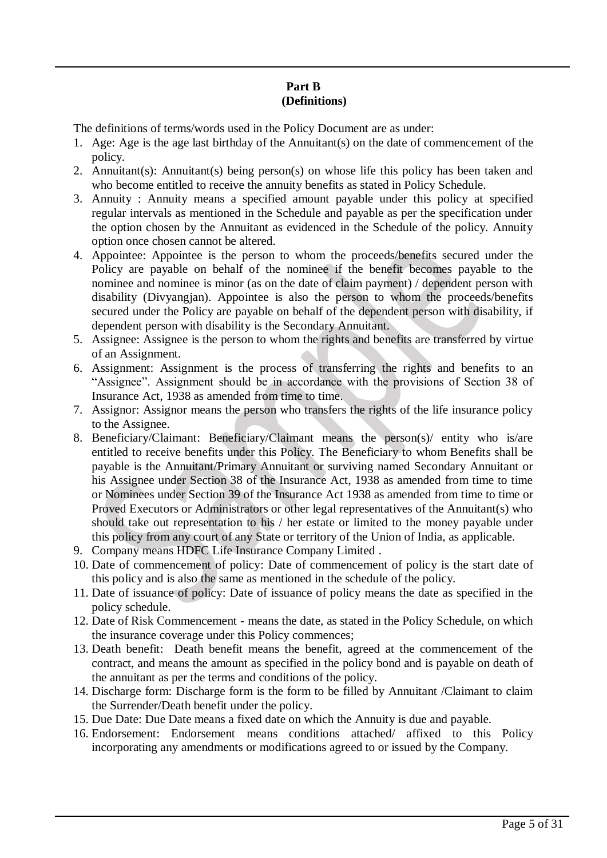### **Part B (Definitions)**

The definitions of terms/words used in the Policy Document are as under:

- 1. Age: Age is the age last birthday of the Annuitant(s) on the date of commencement of the policy.
- 2. Annuitant(s): Annuitant(s) being person(s) on whose life this policy has been taken and who become entitled to receive the annuity benefits as stated in Policy Schedule.
- 3. Annuity : Annuity means a specified amount payable under this policy at specified regular intervals as mentioned in the Schedule and payable as per the specification under the option chosen by the Annuitant as evidenced in the Schedule of the policy. Annuity option once chosen cannot be altered.
- 4. Appointee: Appointee is the person to whom the proceeds/benefits secured under the Policy are payable on behalf of the nominee if the benefit becomes payable to the nominee and nominee is minor (as on the date of claim payment) / dependent person with disability (Divyangjan). Appointee is also the person to whom the proceeds/benefits secured under the Policy are payable on behalf of the dependent person with disability, if dependent person with disability is the Secondary Annuitant.
- 5. Assignee: Assignee is the person to whom the rights and benefits are transferred by virtue of an Assignment.
- 6. Assignment: Assignment is the process of transferring the rights and benefits to an "Assignee". Assignment should be in accordance with the provisions of Section 38 of Insurance Act, 1938 as amended from time to time.
- 7. Assignor: Assignor means the person who transfers the rights of the life insurance policy to the Assignee.
- 8. Beneficiary/Claimant: Beneficiary/Claimant means the person(s)/ entity who is/are entitled to receive benefits under this Policy. The Beneficiary to whom Benefits shall be payable is the Annuitant/Primary Annuitant or surviving named Secondary Annuitant or his Assignee under Section 38 of the Insurance Act, 1938 as amended from time to time or Nominees under Section 39 of the Insurance Act 1938 as amended from time to time or Proved Executors or Administrators or other legal representatives of the Annuitant(s) who should take out representation to his / her estate or limited to the money payable under this policy from any court of any State or territory of the Union of India, as applicable.
- 9. Company means HDFC Life Insurance Company Limited .
- 10. Date of commencement of policy: Date of commencement of policy is the start date of this policy and is also the same as mentioned in the schedule of the policy.
- 11. Date of issuance of policy: Date of issuance of policy means the date as specified in the policy schedule.
- 12. Date of Risk Commencement means the date, as stated in the Policy Schedule, on which the insurance coverage under this Policy commences;
- 13. Death benefit: Death benefit means the benefit, agreed at the commencement of the contract, and means the amount as specified in the policy bond and is payable on death of the annuitant as per the terms and conditions of the policy.
- 14. Discharge form: Discharge form is the form to be filled by Annuitant /Claimant to claim the Surrender/Death benefit under the policy.
- 15. Due Date: Due Date means a fixed date on which the Annuity is due and payable.
- 16. Endorsement: Endorsement means conditions attached/ affixed to this Policy incorporating any amendments or modifications agreed to or issued by the Company.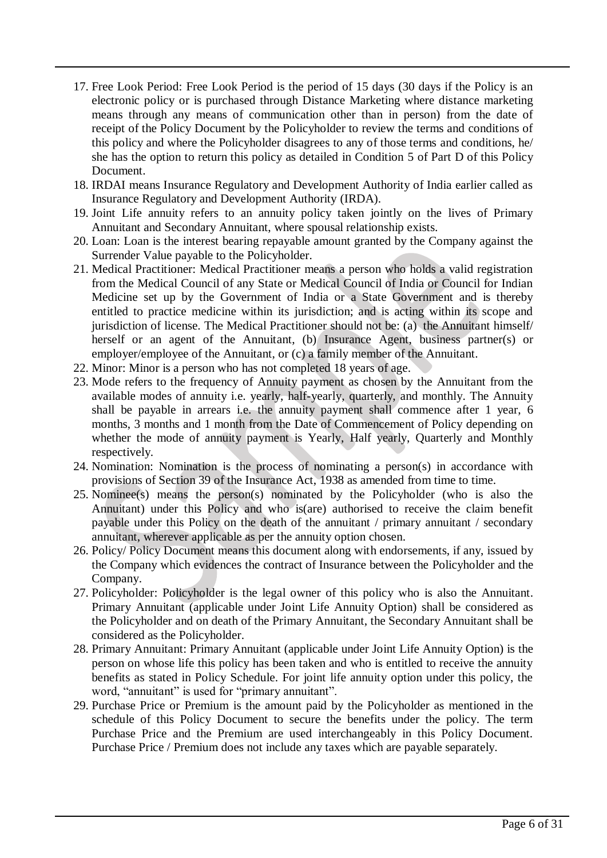- 17. Free Look Period: Free Look Period is the period of 15 days (30 days if the Policy is an electronic policy or is purchased through Distance Marketing where distance marketing means through any means of communication other than in person) from the date of receipt of the Policy Document by the Policyholder to review the terms and conditions of this policy and where the Policyholder disagrees to any of those terms and conditions, he/ she has the option to return this policy as detailed in Condition 5 of Part D of this Policy Document.
- 18. IRDAI means Insurance Regulatory and Development Authority of India earlier called as Insurance Regulatory and Development Authority (IRDA).
- 19. Joint Life annuity refers to an annuity policy taken jointly on the lives of Primary Annuitant and Secondary Annuitant, where spousal relationship exists.
- 20. Loan: Loan is the interest bearing repayable amount granted by the Company against the Surrender Value payable to the Policyholder.
- 21. Medical Practitioner: Medical Practitioner means a person who holds a valid registration from the Medical Council of any State or Medical Council of India or Council for Indian Medicine set up by the Government of India or a State Government and is thereby entitled to practice medicine within its jurisdiction; and is acting within its scope and jurisdiction of license. The Medical Practitioner should not be: (a) the Annuitant himself/ herself or an agent of the Annuitant, (b) Insurance Agent, business partner(s) or employer/employee of the Annuitant, or (c) a family member of the Annuitant.
- 22. Minor: Minor is a person who has not completed 18 years of age.
- 23. Mode refers to the frequency of Annuity payment as chosen by the Annuitant from the available modes of annuity i.e. yearly, half-yearly, quarterly, and monthly. The Annuity shall be payable in arrears i.e. the annuity payment shall commence after 1 year, 6 months, 3 months and 1 month from the Date of Commencement of Policy depending on whether the mode of annuity payment is Yearly, Half yearly, Quarterly and Monthly respectively.
- 24. Nomination: Nomination is the process of nominating a person(s) in accordance with provisions of Section 39 of the Insurance Act, 1938 as amended from time to time.
- 25. Nominee(s) means the person(s) nominated by the Policyholder (who is also the Annuitant) under this Policy and who is(are) authorised to receive the claim benefit payable under this Policy on the death of the annuitant / primary annuitant / secondary annuitant, wherever applicable as per the annuity option chosen.
- 26. Policy/ Policy Document means this document along with endorsements, if any, issued by the Company which evidences the contract of Insurance between the Policyholder and the Company.
- 27. Policyholder: Policyholder is the legal owner of this policy who is also the Annuitant. Primary Annuitant (applicable under Joint Life Annuity Option) shall be considered as the Policyholder and on death of the Primary Annuitant, the Secondary Annuitant shall be considered as the Policyholder.
- 28. Primary Annuitant: Primary Annuitant (applicable under Joint Life Annuity Option) is the person on whose life this policy has been taken and who is entitled to receive the annuity benefits as stated in Policy Schedule. For joint life annuity option under this policy, the word, "annuitant" is used for "primary annuitant".
- 29. Purchase Price or Premium is the amount paid by the Policyholder as mentioned in the schedule of this Policy Document to secure the benefits under the policy. The term Purchase Price and the Premium are used interchangeably in this Policy Document. Purchase Price / Premium does not include any taxes which are payable separately.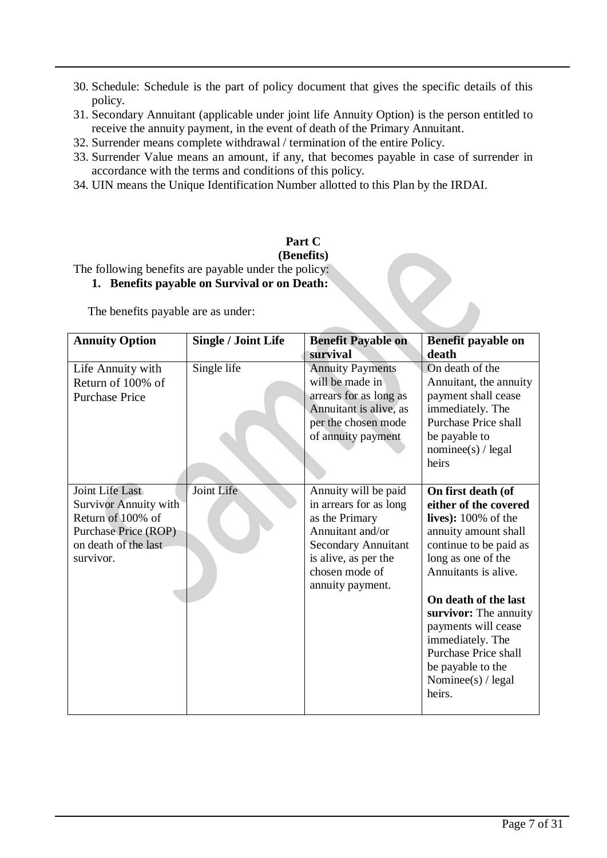- 30. Schedule: Schedule is the part of policy document that gives the specific details of this policy.
- 31. Secondary Annuitant (applicable under joint life Annuity Option) is the person entitled to receive the annuity payment, in the event of death of the Primary Annuitant.
- 32. Surrender means complete withdrawal / termination of the entire Policy.
- 33. Surrender Value means an amount, if any, that becomes payable in case of surrender in accordance with the terms and conditions of this policy.
- 34. UIN means the Unique Identification Number allotted to this Plan by the IRDAI.

#### **Part C (Benefits)**

The following benefits are payable under the policy:

## **1. Benefits payable on Survival or on Death:**

The benefits payable are as under:

| <b>Annuity Option</b>                                                                                                             | <b>Single / Joint Life</b> | <b>Benefit Payable on</b>                                                                                                                                                        | Benefit payable on                                                                                                                                                                                                                                                                                                                                      |
|-----------------------------------------------------------------------------------------------------------------------------------|----------------------------|----------------------------------------------------------------------------------------------------------------------------------------------------------------------------------|---------------------------------------------------------------------------------------------------------------------------------------------------------------------------------------------------------------------------------------------------------------------------------------------------------------------------------------------------------|
|                                                                                                                                   |                            | survival                                                                                                                                                                         | death                                                                                                                                                                                                                                                                                                                                                   |
| Life Annuity with<br>Return of 100% of<br><b>Purchase Price</b>                                                                   | Single life                | <b>Annuity Payments</b><br>will be made in<br>arrears for as long as<br>Annuitant is alive, as<br>per the chosen mode<br>of annuity payment                                      | On death of the<br>Annuitant, the annuity<br>payment shall cease<br>immediately. The<br><b>Purchase Price shall</b><br>be payable to<br>nominee(s) / legal<br>heirs                                                                                                                                                                                     |
| Joint Life Last<br><b>Survivor Annuity with</b><br>Return of 100% of<br>Purchase Price (ROP)<br>on death of the last<br>survivor. | Joint Life                 | Annuity will be paid<br>in arrears for as long<br>as the Primary<br>Annuitant and/or<br><b>Secondary Annuitant</b><br>is alive, as per the<br>chosen mode of<br>annuity payment. | On first death (of<br>either of the covered<br>lives): $100\%$ of the<br>annuity amount shall<br>continue to be paid as<br>long as one of the<br>Annuitants is alive.<br>On death of the last<br>survivor: The annuity<br>payments will cease<br>immediately. The<br><b>Purchase Price shall</b><br>be payable to the<br>Nominee(s) $/$ legal<br>heirs. |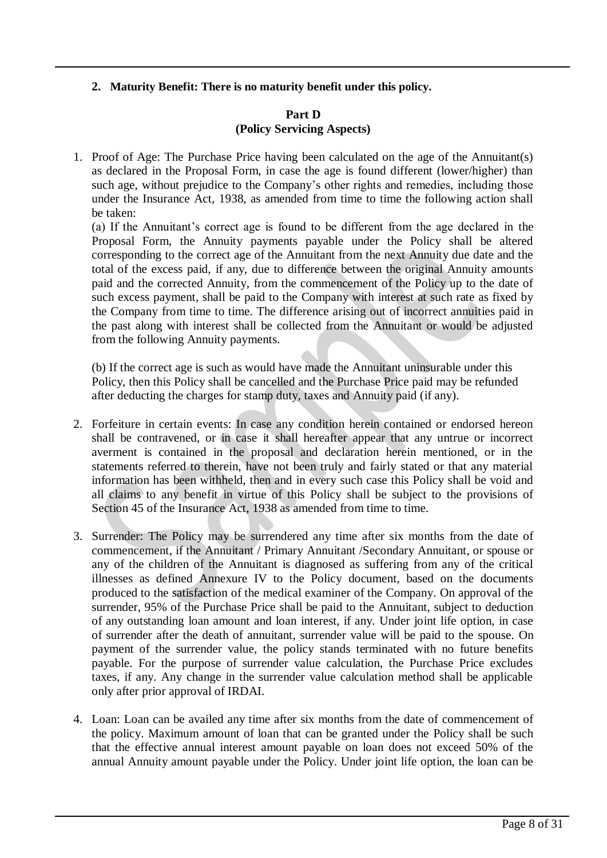### **2. Maturity Benefit: There is no maturity benefit under this policy.**

#### **Part D (Policy Servicing Aspects)**

1. Proof of Age: The Purchase Price having been calculated on the age of the Annuitant(s) as declared in the Proposal Form, in case the age is found different (lower/higher) than such age, without prejudice to the Company's other rights and remedies, including those under the Insurance Act, 1938, as amended from time to time the following action shall be taken:

(a) If the Annuitant's correct age is found to be different from the age declared in the Proposal Form, the Annuity payments payable under the Policy shall be altered corresponding to the correct age of the Annuitant from the next Annuity due date and the total of the excess paid, if any, due to difference between the original Annuity amounts paid and the corrected Annuity, from the commencement of the Policy up to the date of such excess payment, shall be paid to the Company with interest at such rate as fixed by the Company from time to time. The difference arising out of incorrect annuities paid in the past along with interest shall be collected from the Annuitant or would be adjusted from the following Annuity payments.

(b) If the correct age is such as would have made the Annuitant uninsurable under this Policy, then this Policy shall be cancelled and the Purchase Price paid may be refunded after deducting the charges for stamp duty, taxes and Annuity paid (if any).

- 2. Forfeiture in certain events: In case any condition herein contained or endorsed hereon shall be contravened, or in case it shall hereafter appear that any untrue or incorrect averment is contained in the proposal and declaration herein mentioned, or in the statements referred to therein, have not been truly and fairly stated or that any material information has been withheld, then and in every such case this Policy shall be void and all claims to any benefit in virtue of this Policy shall be subject to the provisions of Section 45 of the Insurance Act, 1938 as amended from time to time.
- 3. Surrender: The Policy may be surrendered any time after six months from the date of commencement, if the Annuitant / Primary Annuitant /Secondary Annuitant, or spouse or any of the children of the Annuitant is diagnosed as suffering from any of the critical illnesses as defined Annexure IV to the Policy document, based on the documents produced to the satisfaction of the medical examiner of the Company. On approval of the surrender, 95% of the Purchase Price shall be paid to the Annuitant, subject to deduction of any outstanding loan amount and loan interest, if any. Under joint life option, in case of surrender after the death of annuitant, surrender value will be paid to the spouse. On payment of the surrender value, the policy stands terminated with no future benefits payable. For the purpose of surrender value calculation, the Purchase Price excludes taxes, if any. Any change in the surrender value calculation method shall be applicable only after prior approval of IRDAI.
- 4. Loan: Loan can be availed any time after six months from the date of commencement of the policy. Maximum amount of loan that can be granted under the Policy shall be such that the effective annual interest amount payable on loan does not exceed 50% of the annual Annuity amount payable under the Policy. Under joint life option, the loan can be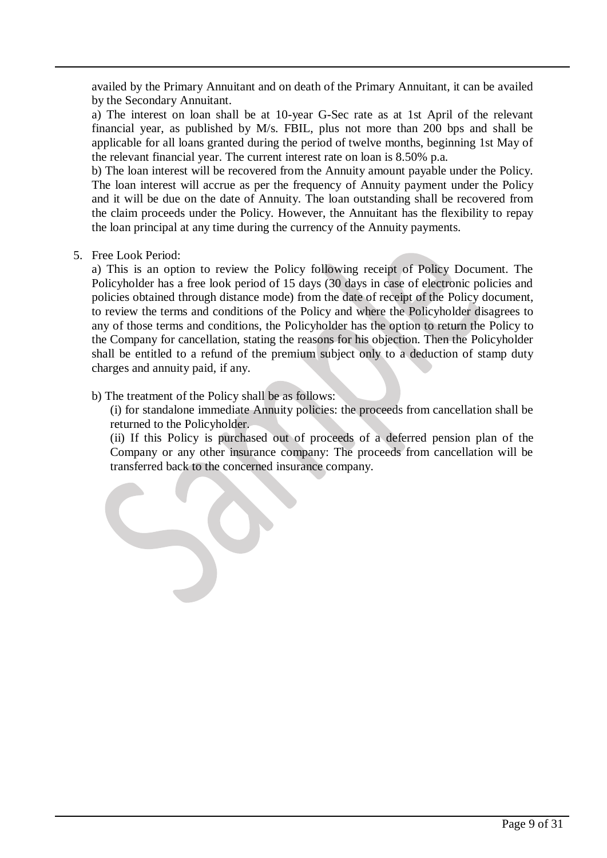availed by the Primary Annuitant and on death of the Primary Annuitant, it can be availed by the Secondary Annuitant.

a) The interest on loan shall be at 10-year G-Sec rate as at 1st April of the relevant financial year, as published by M/s. FBIL, plus not more than 200 bps and shall be applicable for all loans granted during the period of twelve months, beginning 1st May of the relevant financial year. The current interest rate on loan is 8.50% p.a.

b) The loan interest will be recovered from the Annuity amount payable under the Policy. The loan interest will accrue as per the frequency of Annuity payment under the Policy and it will be due on the date of Annuity. The loan outstanding shall be recovered from the claim proceeds under the Policy. However, the Annuitant has the flexibility to repay the loan principal at any time during the currency of the Annuity payments.

5. Free Look Period:

a) This is an option to review the Policy following receipt of Policy Document. The Policyholder has a free look period of 15 days (30 days in case of electronic policies and policies obtained through distance mode) from the date of receipt of the Policy document, to review the terms and conditions of the Policy and where the Policyholder disagrees to any of those terms and conditions, the Policyholder has the option to return the Policy to the Company for cancellation, stating the reasons for his objection. Then the Policyholder shall be entitled to a refund of the premium subject only to a deduction of stamp duty charges and annuity paid, if any.

b) The treatment of the Policy shall be as follows:

(i) for standalone immediate Annuity policies: the proceeds from cancellation shall be returned to the Policyholder.

(ii) If this Policy is purchased out of proceeds of a deferred pension plan of the Company or any other insurance company: The proceeds from cancellation will be transferred back to the concerned insurance company.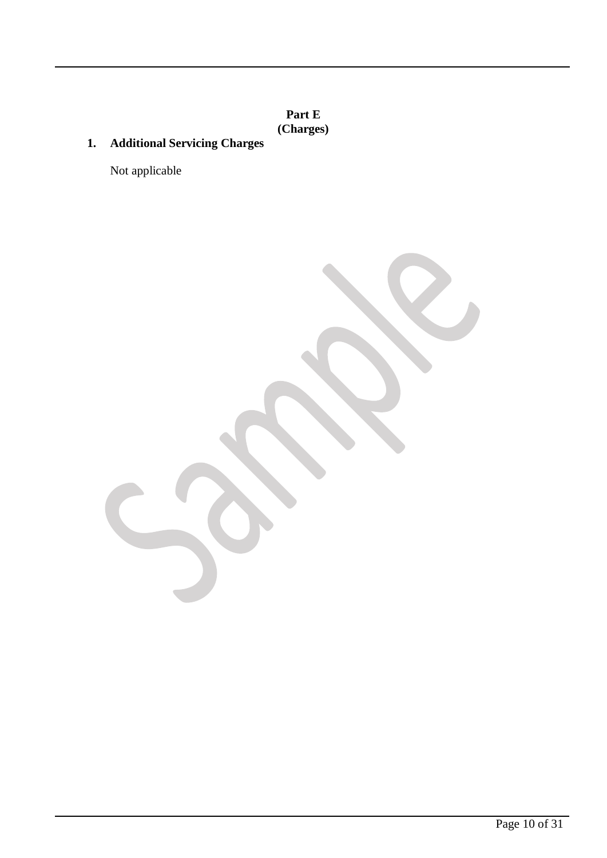**Part E (Charges)**

**1. Additional Servicing Charges** 

Not applicable

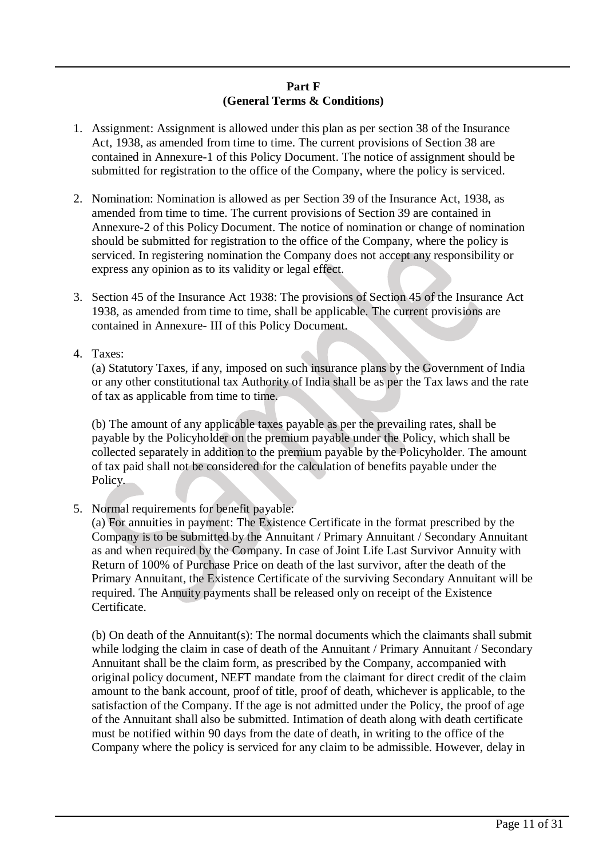### **Part F (General Terms & Conditions)**

- 1. Assignment: Assignment is allowed under this plan as per section 38 of the Insurance Act, 1938, as amended from time to time. The current provisions of Section 38 are contained in Annexure-1 of this Policy Document. The notice of assignment should be submitted for registration to the office of the Company, where the policy is serviced.
- 2. Nomination: Nomination is allowed as per Section 39 of the Insurance Act, 1938, as amended from time to time. The current provisions of Section 39 are contained in Annexure-2 of this Policy Document. The notice of nomination or change of nomination should be submitted for registration to the office of the Company, where the policy is serviced. In registering nomination the Company does not accept any responsibility or express any opinion as to its validity or legal effect.
- 3. Section 45 of the Insurance Act 1938: The provisions of Section 45 of the Insurance Act 1938, as amended from time to time, shall be applicable. The current provisions are contained in Annexure- III of this Policy Document.
- 4. Taxes:

(a) Statutory Taxes, if any, imposed on such insurance plans by the Government of India or any other constitutional tax Authority of India shall be as per the Tax laws and the rate of tax as applicable from time to time.

(b) The amount of any applicable taxes payable as per the prevailing rates, shall be payable by the Policyholder on the premium payable under the Policy, which shall be collected separately in addition to the premium payable by the Policyholder. The amount of tax paid shall not be considered for the calculation of benefits payable under the Policy.

5. Normal requirements for benefit payable:

(a) For annuities in payment: The Existence Certificate in the format prescribed by the Company is to be submitted by the Annuitant / Primary Annuitant / Secondary Annuitant as and when required by the Company. In case of Joint Life Last Survivor Annuity with Return of 100% of Purchase Price on death of the last survivor, after the death of the Primary Annuitant, the Existence Certificate of the surviving Secondary Annuitant will be required. The Annuity payments shall be released only on receipt of the Existence Certificate.

(b) On death of the Annuitant(s): The normal documents which the claimants shall submit while lodging the claim in case of death of the Annuitant / Primary Annuitant / Secondary Annuitant shall be the claim form, as prescribed by the Company, accompanied with original policy document, NEFT mandate from the claimant for direct credit of the claim amount to the bank account, proof of title, proof of death, whichever is applicable, to the satisfaction of the Company. If the age is not admitted under the Policy, the proof of age of the Annuitant shall also be submitted. Intimation of death along with death certificate must be notified within 90 days from the date of death, in writing to the office of the Company where the policy is serviced for any claim to be admissible. However, delay in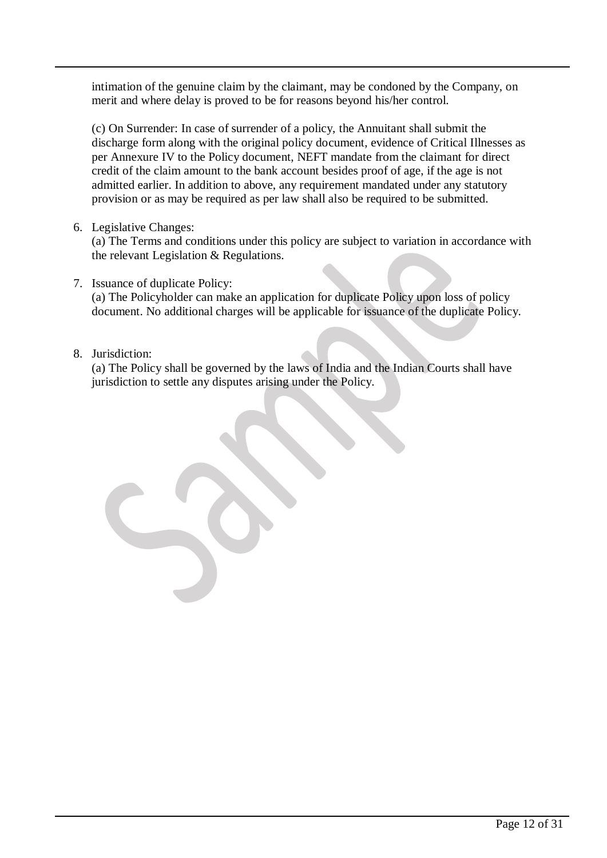intimation of the genuine claim by the claimant, may be condoned by the Company, on merit and where delay is proved to be for reasons beyond his/her control.

(c) On Surrender: In case of surrender of a policy, the Annuitant shall submit the discharge form along with the original policy document, evidence of Critical Illnesses as per Annexure IV to the Policy document, NEFT mandate from the claimant for direct credit of the claim amount to the bank account besides proof of age, if the age is not admitted earlier. In addition to above, any requirement mandated under any statutory provision or as may be required as per law shall also be required to be submitted.

6. Legislative Changes:

(a) The Terms and conditions under this policy are subject to variation in accordance with the relevant Legislation & Regulations.

7. Issuance of duplicate Policy:

(a) The Policyholder can make an application for duplicate Policy upon loss of policy document. No additional charges will be applicable for issuance of the duplicate Policy.

## 8. Jurisdiction:

(a) The Policy shall be governed by the laws of India and the Indian Courts shall have jurisdiction to settle any disputes arising under the Policy.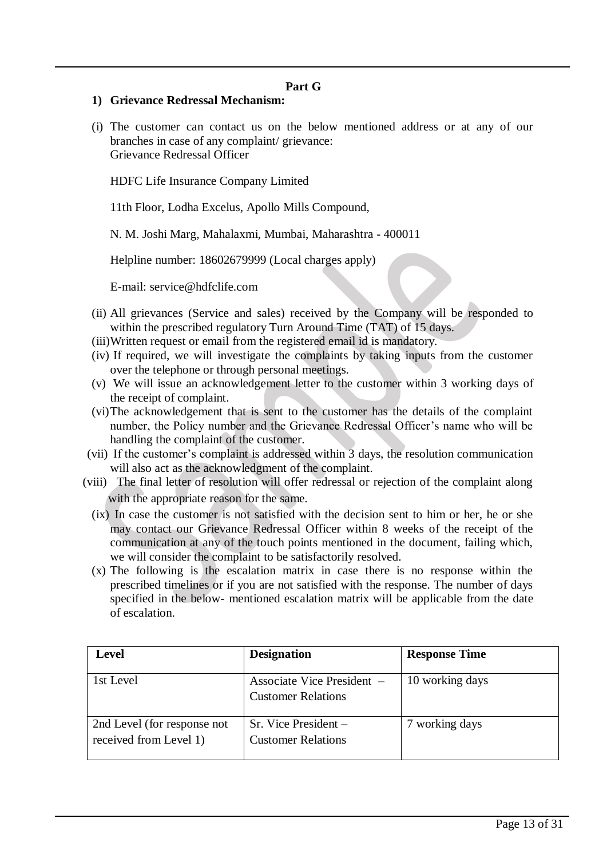#### **Part G**

#### **1) Grievance Redressal Mechanism:**

(i) The customer can contact us on the below mentioned address or at any of our branches in case of any complaint/ grievance: Grievance Redressal Officer

HDFC Life Insurance Company Limited

11th Floor, Lodha Excelus, Apollo Mills Compound,

N. M. Joshi Marg, Mahalaxmi, Mumbai, Maharashtra - 400011

Helpline number: 18602679999 (Local charges apply)

E-mail: [service@hdfclife.com](mailto:service@hdfclife.com)

- (ii) All grievances (Service and sales) received by the Company will be responded to within the prescribed regulatory Turn Around Time (TAT) of 15 days.
- (iii)Written request or email from the registered email id is mandatory.
- (iv) If required, we will investigate the complaints by taking inputs from the customer over the telephone or through personal meetings.
- (v) We will issue an acknowledgement letter to the customer within 3 working days of the receipt of complaint.
- (vi)The acknowledgement that is sent to the customer has the details of the complaint number, the Policy number and the Grievance Redressal Officer's name who will be handling the complaint of the customer.
- (vii) If the customer's complaint is addressed within 3 days, the resolution communication will also act as the acknowledgment of the complaint.
- (viii) The final letter of resolution will offer redressal or rejection of the complaint along with the appropriate reason for the same.
	- (ix) In case the customer is not satisfied with the decision sent to him or her, he or she may contact our Grievance Redressal Officer within 8 weeks of the receipt of the communication at any of the touch points mentioned in the document, failing which, we will consider the complaint to be satisfactorily resolved.
	- (x) The following is the escalation matrix in case there is no response within the prescribed timelines or if you are not satisfied with the response. The number of days specified in the below- mentioned escalation matrix will be applicable from the date of escalation.

| <b>Level</b>                                          | <b>Designation</b>                                      | <b>Response Time</b> |
|-------------------------------------------------------|---------------------------------------------------------|----------------------|
| 1st Level                                             | Associate Vice President –<br><b>Customer Relations</b> | 10 working days      |
| 2nd Level (for response not<br>received from Level 1) | Sr. Vice President -<br><b>Customer Relations</b>       | 7 working days       |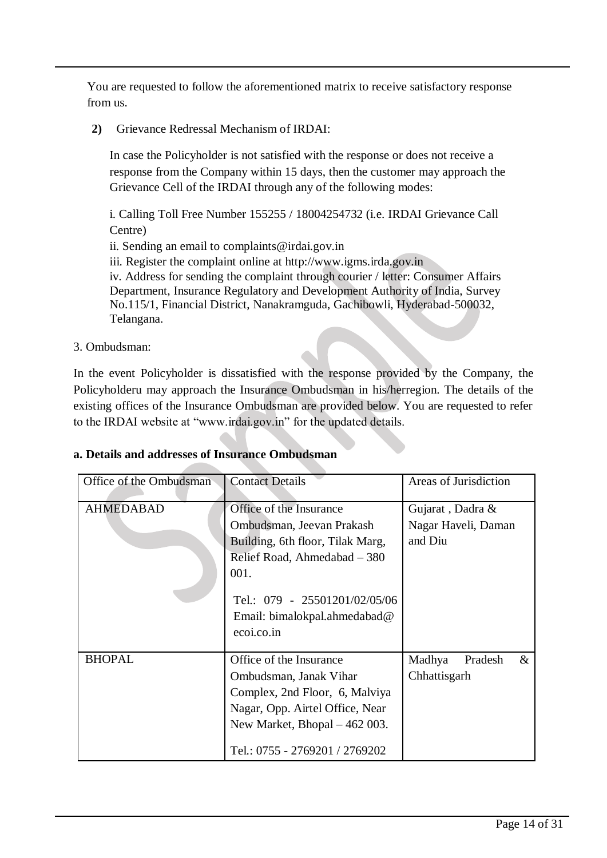You are requested to follow the aforementioned matrix to receive satisfactory response from us.

**2)** Grievance Redressal Mechanism of IRDAI:

In case the Policyholder is not satisfied with the response or does not receive a response from the Company within 15 days, then the customer may approach the Grievance Cell of the IRDAI through any of the following modes:

i. Calling Toll Free Number 155255 / 18004254732 (i.e. IRDAI Grievance Call Centre)

ii. Sending an email to complaints@irdai.gov.in

iii. Register the complaint online at http://www.igms.irda.gov.in

iv. Address for sending the complaint through courier / letter: Consumer Affairs Department, Insurance Regulatory and Development Authority of India, Survey No.115/1, Financial District, Nanakramguda, Gachibowli, Hyderabad-500032, Telangana.

3. Ombudsman:

In the event Policyholder is dissatisfied with the response provided by the Company, the Policyholderu may approach the Insurance Ombudsman in his/herregion. The details of the existing offices of the Insurance Ombudsman are provided below. You are requested to refer to the IRDAI website at "www.irdai.gov.in" for the updated details.

| Office of the Ombudsman | <b>Contact Details</b>           | Areas of Jurisdiction     |  |
|-------------------------|----------------------------------|---------------------------|--|
| <b>AHMEDABAD</b>        | Office of the Insurance          | Gujarat, Dadra &          |  |
|                         | Ombudsman, Jeevan Prakash        | Nagar Haveli, Daman       |  |
|                         | Building, 6th floor, Tilak Marg, | and Diu                   |  |
|                         | Relief Road, Ahmedabad – 380     |                           |  |
|                         | 001.                             |                           |  |
|                         | Tel.: 079 - 25501201/02/05/06    |                           |  |
|                         | Email: bimalokpal.ahmedabad@     |                           |  |
|                         | ecoi.co.in                       |                           |  |
| <b>BHOPAL</b>           | Office of the Insurance          | Madhya<br>Pradesh<br>$\&$ |  |
|                         | Ombudsman, Janak Vihar           | Chhattisgarh              |  |
|                         | Complex, 2nd Floor, 6, Malviya   |                           |  |
|                         | Nagar, Opp. Airtel Office, Near  |                           |  |
|                         | New Market, Bhopal $-462$ 003.   |                           |  |
|                         | Tel.: 0755 - 2769201 / 2769202   |                           |  |

### **a. Details and addresses of Insurance Ombudsman**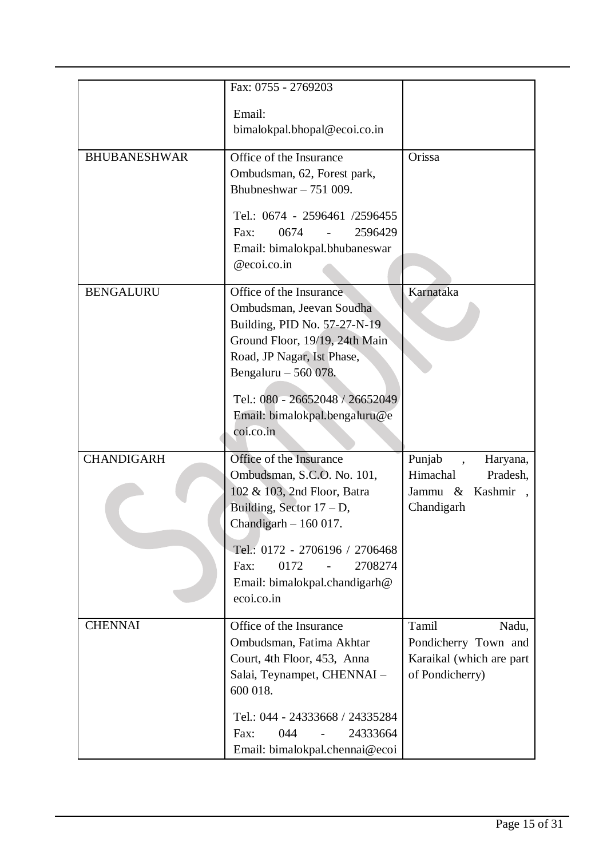|                     | Fax: 0755 - 2769203                                                                                                                                                             |                                                                                       |
|---------------------|---------------------------------------------------------------------------------------------------------------------------------------------------------------------------------|---------------------------------------------------------------------------------------|
|                     | Email:<br>bimalokpal.bhopal@ecoi.co.in                                                                                                                                          |                                                                                       |
| <b>BHUBANESHWAR</b> | Office of the Insurance<br>Ombudsman, 62, Forest park,<br>Bhubneshwar $-751009$ .                                                                                               | Orissa                                                                                |
|                     | Tel.: 0674 - 2596461 /2596455<br>2596429<br>Fax:<br>0674<br>Email: bimalokpal.bhubaneswar<br>@ecoi.co.in                                                                        |                                                                                       |
| <b>BENGALURU</b>    | Office of the Insurance<br>Ombudsman, Jeevan Soudha<br>Building, PID No. 57-27-N-19<br>Ground Floor, 19/19, 24th Main<br>Road, JP Nagar, Ist Phase,<br>Bengaluru - 560 078.     | Karnataka                                                                             |
|                     | Tel.: 080 - 26652048 / 26652049<br>Email: bimalokpal.bengaluru@e<br>coi.co.in                                                                                                   |                                                                                       |
| <b>CHANDIGARH</b>   | Office of the Insurance<br>Ombudsman, S.C.O. No. 101,<br>102 & 103, 2nd Floor, Batra<br>Building, Sector $17 - D$ ,<br>Chandigarh $-160017$ .<br>Tel.: 0172 - 2706196 / 2706468 | Punjab<br>Haryana,<br>Himachal<br>Pradesh,<br>Kashmir<br>Jammu &<br>Chandigarh        |
|                     | 2708274<br>0172<br>Fax:<br>$\blacksquare$<br>Email: bimalokpal.chandigarh@<br>ecoi.co.in                                                                                        |                                                                                       |
| <b>CHENNAI</b>      | Office of the Insurance<br>Ombudsman, Fatima Akhtar<br>Court, 4th Floor, 453, Anna<br>Salai, Teynampet, CHENNAI -<br>600 018.                                                   | Tamil<br>Nadu,<br>Pondicherry Town and<br>Karaikal (which are part<br>of Pondicherry) |
|                     | Tel.: 044 - 24333668 / 24335284<br>044<br>24333664<br>Fax:<br>Email: bimalokpal.chennai@ecoi                                                                                    |                                                                                       |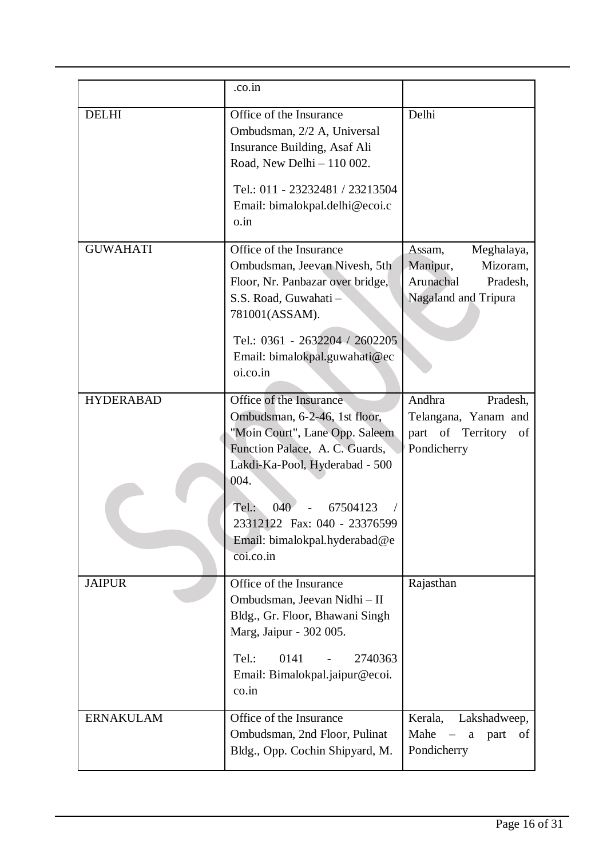|                  | .co.in                                                                                                                                                                                                                                                                           |                                                                                               |
|------------------|----------------------------------------------------------------------------------------------------------------------------------------------------------------------------------------------------------------------------------------------------------------------------------|-----------------------------------------------------------------------------------------------|
| <b>DELHI</b>     | Office of the Insurance<br>Ombudsman, 2/2 A, Universal<br>Insurance Building, Asaf Ali<br>Road, New Delhi - 110 002.<br>Tel.: 011 - 23232481 / 23213504<br>Email: bimalokpal.delhi@ecoi.c<br>o.in                                                                                | Delhi                                                                                         |
| <b>GUWAHATI</b>  | Office of the Insurance<br>Ombudsman, Jeevan Nivesh, 5th<br>Floor, Nr. Panbazar over bridge,<br>S.S. Road, Guwahati -<br>781001(ASSAM).<br>Tel.: 0361 - 2632204 / 2602205<br>Email: bimalokpal.guwahati@ec<br>oi.co.in                                                           | Meghalaya,<br>Assam,<br>Mizoram,<br>Manipur,<br>Arunachal<br>Pradesh,<br>Nagaland and Tripura |
| <b>HYDERABAD</b> | Office of the Insurance<br>Ombudsman, 6-2-46, 1st floor,<br>"Moin Court", Lane Opp. Saleem<br>Function Palace, A. C. Guards,<br>Lakdi-Ka-Pool, Hyderabad - 500<br>004.<br>040<br>Tel.:<br>67504123<br>23312122 Fax: 040 - 23376599<br>Email: bimalokpal.hyderabad@e<br>coi.co.in | Andhra<br>Pradesh,<br>Telangana, Yanam and<br>part of Territory<br>of<br>Pondicherry          |
| <b>JAIPUR</b>    | Office of the Insurance<br>Ombudsman, Jeevan Nidhi - II<br>Bldg., Gr. Floor, Bhawani Singh<br>Marg, Jaipur - 302 005.<br>0141<br>Tel.:<br>2740363<br>Email: Bimalokpal.jaipur@ecoi.<br>co.in                                                                                     | Rajasthan                                                                                     |
| <b>ERNAKULAM</b> | Office of the Insurance<br>Ombudsman, 2nd Floor, Pulinat<br>Bldg., Opp. Cochin Shipyard, M.                                                                                                                                                                                      | Kerala,<br>Lakshadweep,<br>Mahe<br>$\mathbf{a}$<br>part<br>οf<br>Pondicherry                  |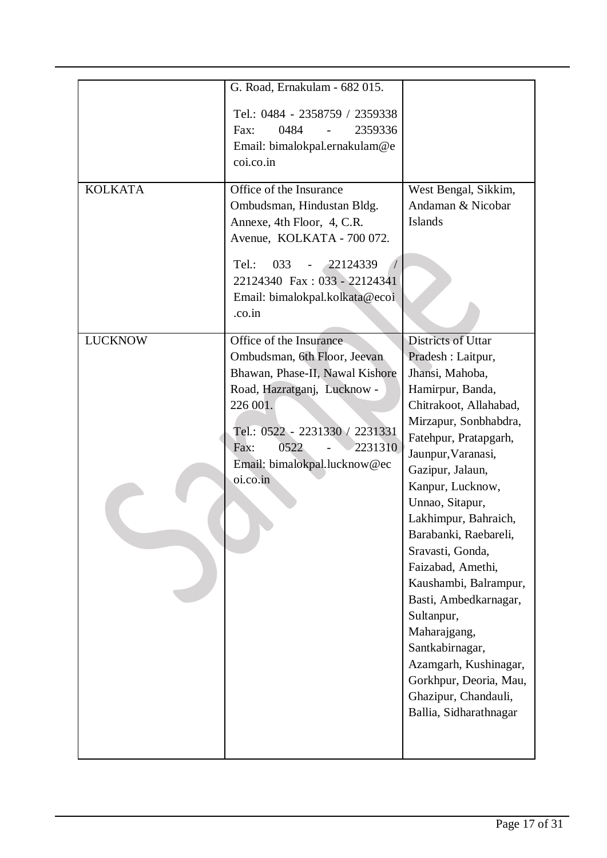|                | G. Road, Ernakulam - 682 015.                                                                                                                                                                                                                  |                                                                                                                                                                                                                                                                                                                                                                                                                                                                                                                                                |
|----------------|------------------------------------------------------------------------------------------------------------------------------------------------------------------------------------------------------------------------------------------------|------------------------------------------------------------------------------------------------------------------------------------------------------------------------------------------------------------------------------------------------------------------------------------------------------------------------------------------------------------------------------------------------------------------------------------------------------------------------------------------------------------------------------------------------|
|                | Tel.: 0484 - 2358759 / 2359338<br>0484<br>2359336<br>Fax:<br>Email: bimalokpal.ernakulam@e<br>coi.co.in                                                                                                                                        |                                                                                                                                                                                                                                                                                                                                                                                                                                                                                                                                                |
| <b>KOLKATA</b> | Office of the Insurance<br>Ombudsman, Hindustan Bldg.<br>Annexe, 4th Floor, 4, C.R.<br>Avenue, KOLKATA - 700 072.<br>22124339<br>Tel.:<br>033<br>22124340 Fax: 033 - 22124341<br>Email: bimalokpal.kolkata@ecoi<br>.co.in                      | West Bengal, Sikkim,<br>Andaman & Nicobar<br><b>Islands</b>                                                                                                                                                                                                                                                                                                                                                                                                                                                                                    |
| <b>LUCKNOW</b> | Office of the Insurance<br>Ombudsman, 6th Floor, Jeevan<br>Bhawan, Phase-II, Nawal Kishore<br>Road, Hazratganj, Lucknow -<br>226 001.<br>Tel.: 0522 - 2231330 / 2231331<br>0522<br>2231310<br>Fax:<br>Email: bimalokpal.lucknow@ec<br>oi.co.in | Districts of Uttar<br>Pradesh : Laitpur,<br>Jhansi, Mahoba,<br>Hamirpur, Banda,<br>Chitrakoot, Allahabad,<br>Mirzapur, Sonbhabdra,<br>Fatehpur, Pratapgarh,<br>Jaunpur, Varanasi,<br>Gazipur, Jalaun,<br>Kanpur, Lucknow,<br>Unnao, Sitapur,<br>Lakhimpur, Bahraich,<br>Barabanki, Raebareli,<br>Sravasti, Gonda,<br>Faizabad, Amethi,<br>Kaushambi, Balrampur,<br>Basti, Ambedkarnagar,<br>Sultanpur,<br>Maharajgang,<br>Santkabirnagar,<br>Azamgarh, Kushinagar,<br>Gorkhpur, Deoria, Mau,<br>Ghazipur, Chandauli,<br>Ballia, Sidharathnagar |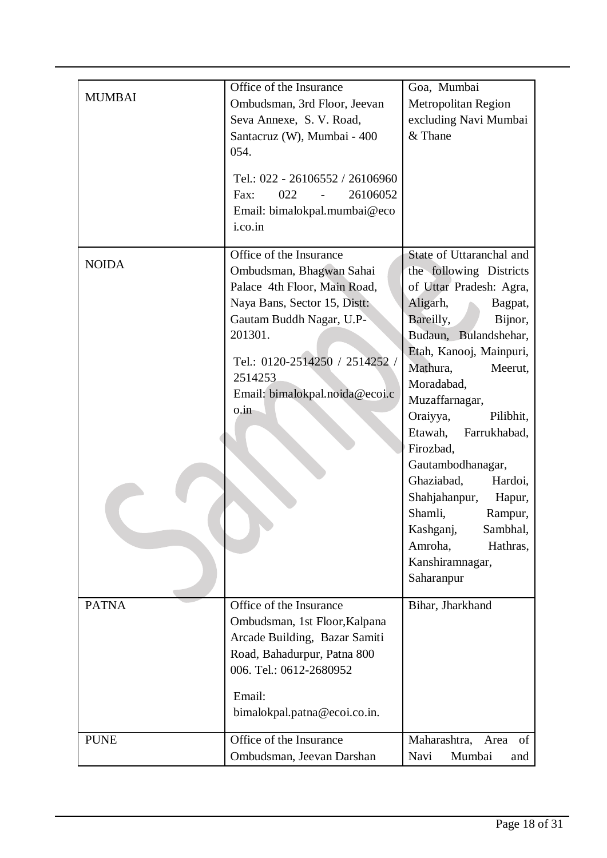| <b>MUMBAI</b> | Office of the Insurance<br>Ombudsman, 3rd Floor, Jeevan<br>Seva Annexe, S. V. Road,<br>Santacruz (W), Mumbai - 400<br>054.<br>Tel.: 022 - 26106552 / 26106960<br>022<br>26106052<br>Fax:<br>$\sim 100$<br>Email: bimalokpal.mumbai@eco<br>i.co.in | Goa, Mumbai<br>Metropolitan Region<br>excluding Navi Mumbai<br>& Thane                                                                                                                                                                                                                                                                                                                                                                                                                    |
|---------------|---------------------------------------------------------------------------------------------------------------------------------------------------------------------------------------------------------------------------------------------------|-------------------------------------------------------------------------------------------------------------------------------------------------------------------------------------------------------------------------------------------------------------------------------------------------------------------------------------------------------------------------------------------------------------------------------------------------------------------------------------------|
| <b>NOIDA</b>  | Office of the Insurance<br>Ombudsman, Bhagwan Sahai<br>Palace 4th Floor, Main Road,<br>Naya Bans, Sector 15, Distt:<br>Gautam Buddh Nagar, U.P-<br>201301.<br>Tel.: 0120-2514250 / 2514252 /<br>2514253<br>Email: bimalokpal.noida@ecoi.c<br>o.in | State of Uttaranchal and<br>the following Districts<br>of Uttar Pradesh: Agra,<br>Aligarh,<br>Bagpat,<br>Bareilly,<br>Bijnor,<br>Budaun, Bulandshehar,<br>Etah, Kanooj, Mainpuri,<br>Mathura,<br>Meerut,<br>Moradabad,<br>Muzaffarnagar,<br>Oraiyya,<br>Pilibhit,<br>Etawah,<br>Farrukhabad,<br>Firozbad,<br>Gautambodhanagar,<br>Ghaziabad,<br>Hardoi,<br>Shahjahanpur,<br>Hapur,<br>Shamli,<br>Rampur,<br>Kashganj,<br>Sambhal.<br>Amroha,<br>Hathras,<br>Kanshiramnagar,<br>Saharanpur |
| <b>PATNA</b>  | Office of the Insurance<br>Ombudsman, 1st Floor, Kalpana<br>Arcade Building, Bazar Samiti<br>Road, Bahadurpur, Patna 800<br>006. Tel.: 0612-2680952<br>Email:<br>bimalokpal.patna@ecoi.co.in.                                                     | Bihar, Jharkhand                                                                                                                                                                                                                                                                                                                                                                                                                                                                          |
| <b>PUNE</b>   | Office of the Insurance<br>Ombudsman, Jeevan Darshan                                                                                                                                                                                              | Maharashtra,<br>Area<br>of<br>Navi<br>Mumbai<br>and                                                                                                                                                                                                                                                                                                                                                                                                                                       |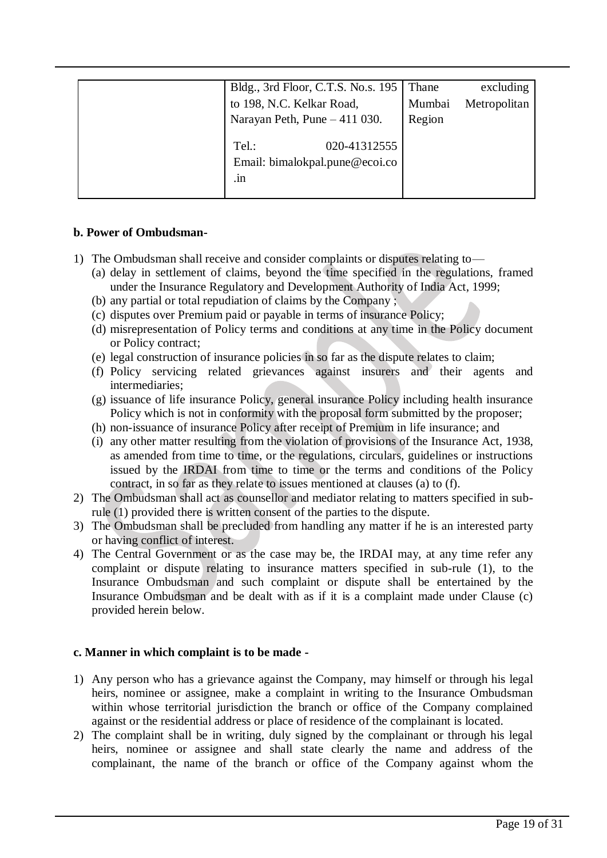| Bldg., 3rd Floor, C.T.S. No.s. 195                      | Thane  | excluding    |
|---------------------------------------------------------|--------|--------------|
| to 198, N.C. Kelkar Road,                               | Mumbai | Metropolitan |
| Narayan Peth, Pune - 411 030.                           | Region |              |
| 020-41312555<br>Tel.:<br>Email: bimalokpal.pune@ecoi.co |        |              |
| $\cdot$ 11                                              |        |              |

#### **b. Power of Ombudsman-**

- 1) The Ombudsman shall receive and consider complaints or disputes relating to—
	- (a) delay in settlement of claims, beyond the time specified in the regulations, framed under the Insurance Regulatory and Development Authority of India Act, 1999;
	- (b) any partial or total repudiation of claims by the Company ;
	- (c) disputes over Premium paid or payable in terms of insurance Policy;
	- (d) misrepresentation of Policy terms and conditions at any time in the Policy document or Policy contract;
	- (e) legal construction of insurance policies in so far as the dispute relates to claim;
	- (f) Policy servicing related grievances against insurers and their agents and intermediaries;
	- (g) issuance of life insurance Policy, general insurance Policy including health insurance Policy which is not in conformity with the proposal form submitted by the proposer;
	- (h) non-issuance of insurance Policy after receipt of Premium in life insurance; and
	- (i) any other matter resulting from the violation of provisions of the Insurance Act, 1938, as amended from time to time, or the regulations, circulars, guidelines or instructions issued by the IRDAI from time to time or the terms and conditions of the Policy contract, in so far as they relate to issues mentioned at clauses (a) to (f).
- 2) The Ombudsman shall act as counsellor and mediator relating to matters specified in subrule (1) provided there is written consent of the parties to the dispute.
- 3) The Ombudsman shall be precluded from handling any matter if he is an interested party or having conflict of interest.
- 4) The Central Government or as the case may be, the IRDAI may, at any time refer any complaint or dispute relating to insurance matters specified in sub-rule (1), to the Insurance Ombudsman and such complaint or dispute shall be entertained by the Insurance Ombudsman and be dealt with as if it is a complaint made under Clause (c) provided herein below.

#### **c. Manner in which complaint is to be made -**

- 1) Any person who has a grievance against the Company, may himself or through his legal heirs, nominee or assignee, make a complaint in writing to the Insurance Ombudsman within whose territorial jurisdiction the branch or office of the Company complained against or the residential address or place of residence of the complainant is located.
- 2) The complaint shall be in writing, duly signed by the complainant or through his legal heirs, nominee or assignee and shall state clearly the name and address of the complainant, the name of the branch or office of the Company against whom the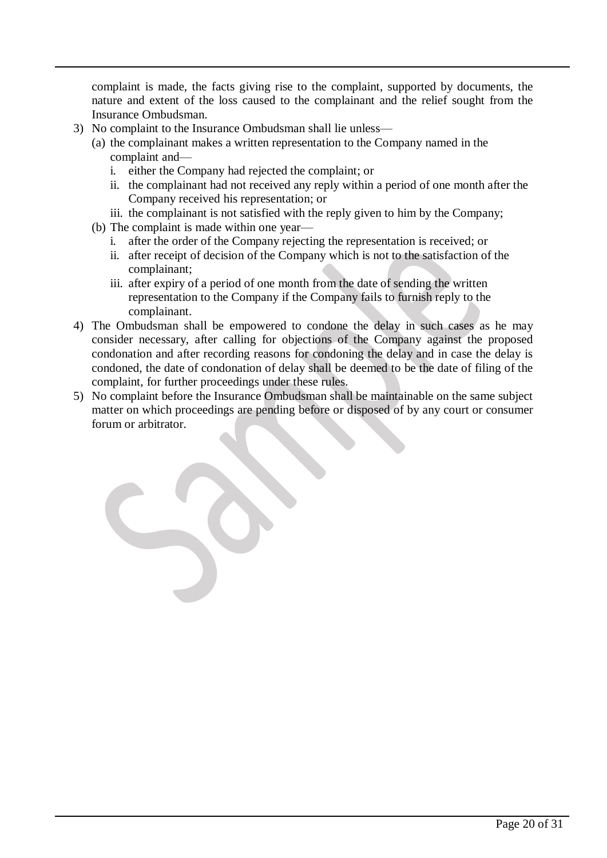complaint is made, the facts giving rise to the complaint, supported by documents, the nature and extent of the loss caused to the complainant and the relief sought from the Insurance Ombudsman.

- 3) No complaint to the Insurance Ombudsman shall lie unless—
	- (a) the complainant makes a written representation to the Company named in the complaint and
		- i. either the Company had rejected the complaint; or
		- ii. the complainant had not received any reply within a period of one month after the Company received his representation; or
		- iii. the complainant is not satisfied with the reply given to him by the Company;
	- (b) The complaint is made within one year
		- i. after the order of the Company rejecting the representation is received; or
		- ii. after receipt of decision of the Company which is not to the satisfaction of the complainant;
		- iii. after expiry of a period of one month from the date of sending the written representation to the Company if the Company fails to furnish reply to the complainant.
- 4) The Ombudsman shall be empowered to condone the delay in such cases as he may consider necessary, after calling for objections of the Company against the proposed condonation and after recording reasons for condoning the delay and in case the delay is condoned, the date of condonation of delay shall be deemed to be the date of filing of the complaint, for further proceedings under these rules.
- 5) No complaint before the Insurance Ombudsman shall be maintainable on the same subject matter on which proceedings are pending before or disposed of by any court or consumer forum or arbitrator.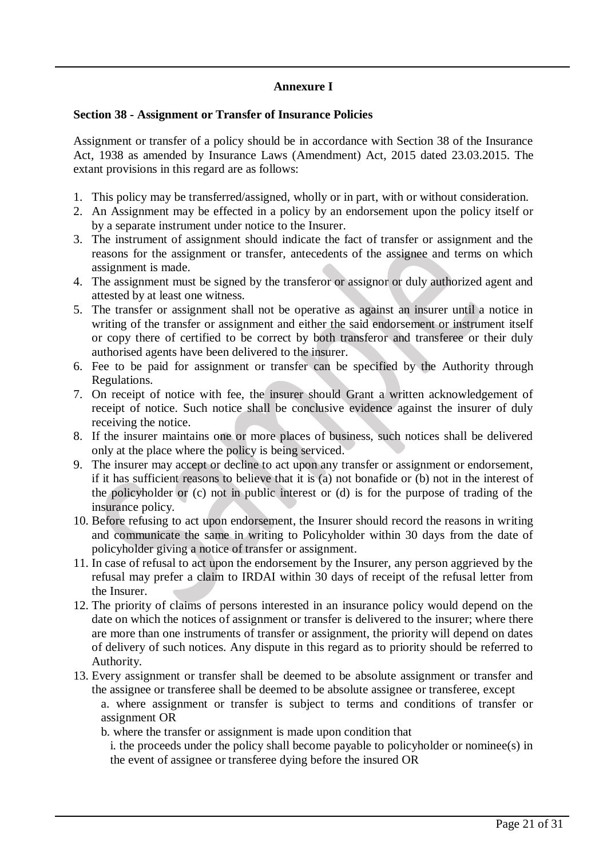## **Annexure I**

#### **Section 38 - Assignment or Transfer of Insurance Policies**

Assignment or transfer of a policy should be in accordance with Section 38 of the Insurance Act, 1938 as amended by Insurance Laws (Amendment) Act, 2015 dated 23.03.2015. The extant provisions in this regard are as follows:

- 1. This policy may be transferred/assigned, wholly or in part, with or without consideration.
- 2. An Assignment may be effected in a policy by an endorsement upon the policy itself or by a separate instrument under notice to the Insurer.
- 3. The instrument of assignment should indicate the fact of transfer or assignment and the reasons for the assignment or transfer, antecedents of the assignee and terms on which assignment is made.
- 4. The assignment must be signed by the transferor or assignor or duly authorized agent and attested by at least one witness.
- 5. The transfer or assignment shall not be operative as against an insurer until a notice in writing of the transfer or assignment and either the said endorsement or instrument itself or copy there of certified to be correct by both transferor and transferee or their duly authorised agents have been delivered to the insurer.
- 6. Fee to be paid for assignment or transfer can be specified by the Authority through Regulations.
- 7. On receipt of notice with fee, the insurer should Grant a written acknowledgement of receipt of notice. Such notice shall be conclusive evidence against the insurer of duly receiving the notice.
- 8. If the insurer maintains one or more places of business, such notices shall be delivered only at the place where the policy is being serviced.
- 9. The insurer may accept or decline to act upon any transfer or assignment or endorsement, if it has sufficient reasons to believe that it is (a) not bonafide or (b) not in the interest of the policyholder or (c) not in public interest or (d) is for the purpose of trading of the insurance policy.
- 10. Before refusing to act upon endorsement, the Insurer should record the reasons in writing and communicate the same in writing to Policyholder within 30 days from the date of policyholder giving a notice of transfer or assignment.
- 11. In case of refusal to act upon the endorsement by the Insurer, any person aggrieved by the refusal may prefer a claim to IRDAI within 30 days of receipt of the refusal letter from the Insurer.
- 12. The priority of claims of persons interested in an insurance policy would depend on the date on which the notices of assignment or transfer is delivered to the insurer; where there are more than one instruments of transfer or assignment, the priority will depend on dates of delivery of such notices. Any dispute in this regard as to priority should be referred to Authority.
- 13. Every assignment or transfer shall be deemed to be absolute assignment or transfer and the assignee or transferee shall be deemed to be absolute assignee or transferee, except

a. where assignment or transfer is subject to terms and conditions of transfer or assignment OR

b. where the transfer or assignment is made upon condition that

i. the proceeds under the policy shall become payable to policyholder or nominee(s) in the event of assignee or transferee dying before the insured OR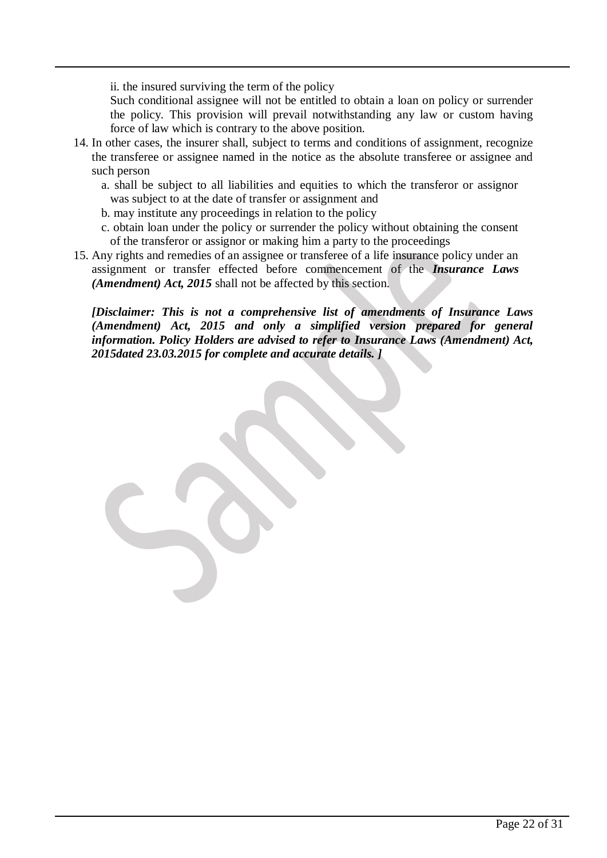ii. the insured surviving the term of the policy

Such conditional assignee will not be entitled to obtain a loan on policy or surrender the policy. This provision will prevail notwithstanding any law or custom having force of law which is contrary to the above position.

- 14. In other cases, the insurer shall, subject to terms and conditions of assignment, recognize the transferee or assignee named in the notice as the absolute transferee or assignee and such person
	- a. shall be subject to all liabilities and equities to which the transferor or assignor was subject to at the date of transfer or assignment and
	- b. may institute any proceedings in relation to the policy
	- c. obtain loan under the policy or surrender the policy without obtaining the consent of the transferor or assignor or making him a party to the proceedings
- 15. Any rights and remedies of an assignee or transferee of a life insurance policy under an assignment or transfer effected before commencement of the *Insurance Laws (Amendment) Act, 2015* shall not be affected by this section.

*[Disclaimer: This is not a comprehensive list of amendments of Insurance Laws (Amendment) Act, 2015 and only a simplified version prepared for general information. Policy Holders are advised to refer to Insurance Laws (Amendment) Act, 2015dated 23.03.2015 for complete and accurate details. ]*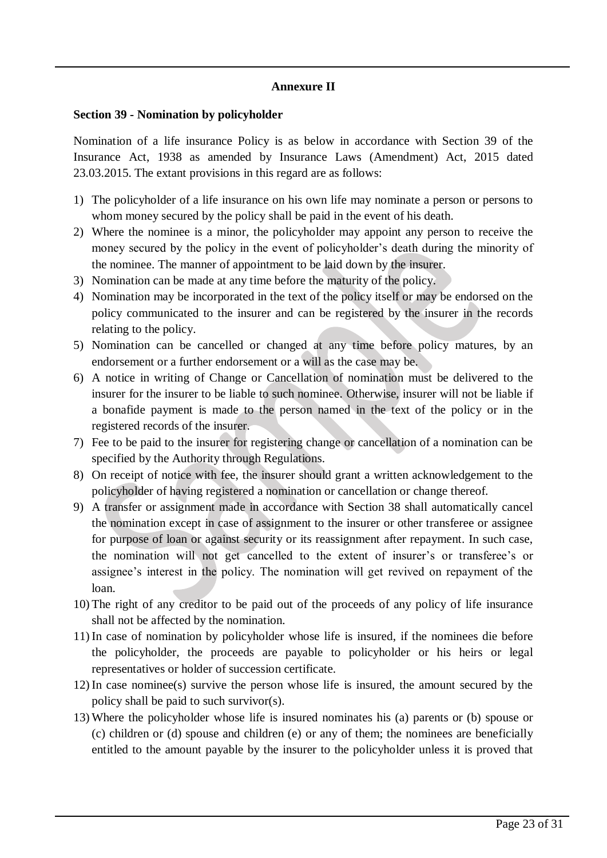#### **Annexure II**

#### **Section 39 - Nomination by policyholder**

Nomination of a life insurance Policy is as below in accordance with Section 39 of the Insurance Act, 1938 as amended by Insurance Laws (Amendment) Act, 2015 dated 23.03.2015. The extant provisions in this regard are as follows:

- 1) The policyholder of a life insurance on his own life may nominate a person or persons to whom money secured by the policy shall be paid in the event of his death.
- 2) Where the nominee is a minor, the policyholder may appoint any person to receive the money secured by the policy in the event of policyholder's death during the minority of the nominee. The manner of appointment to be laid down by the insurer.
- 3) Nomination can be made at any time before the maturity of the policy.
- 4) Nomination may be incorporated in the text of the policy itself or may be endorsed on the policy communicated to the insurer and can be registered by the insurer in the records relating to the policy.
- 5) Nomination can be cancelled or changed at any time before policy matures, by an endorsement or a further endorsement or a will as the case may be.
- 6) A notice in writing of Change or Cancellation of nomination must be delivered to the insurer for the insurer to be liable to such nominee. Otherwise, insurer will not be liable if a bonafide payment is made to the person named in the text of the policy or in the registered records of the insurer.
- 7) Fee to be paid to the insurer for registering change or cancellation of a nomination can be specified by the Authority through Regulations.
- 8) On receipt of notice with fee, the insurer should grant a written acknowledgement to the policyholder of having registered a nomination or cancellation or change thereof.
- 9) A transfer or assignment made in accordance with Section 38 shall automatically cancel the nomination except in case of assignment to the insurer or other transferee or assignee for purpose of loan or against security or its reassignment after repayment. In such case, the nomination will not get cancelled to the extent of insurer's or transferee's or assignee's interest in the policy. The nomination will get revived on repayment of the loan.
- 10) The right of any creditor to be paid out of the proceeds of any policy of life insurance shall not be affected by the nomination.
- 11) In case of nomination by policyholder whose life is insured, if the nominees die before the policyholder, the proceeds are payable to policyholder or his heirs or legal representatives or holder of succession certificate.
- 12) In case nominee(s) survive the person whose life is insured, the amount secured by the policy shall be paid to such survivor(s).
- 13) Where the policyholder whose life is insured nominates his (a) parents or (b) spouse or (c) children or (d) spouse and children (e) or any of them; the nominees are beneficially entitled to the amount payable by the insurer to the policyholder unless it is proved that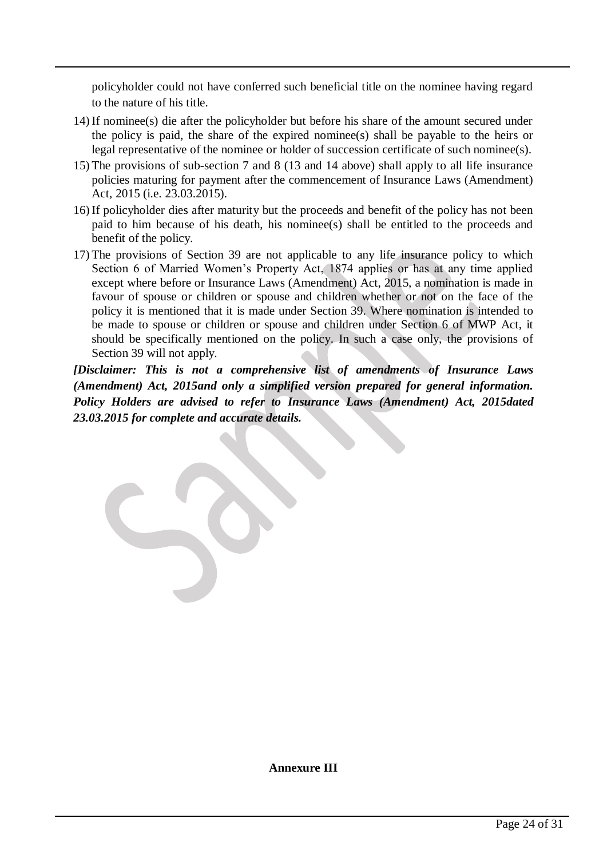policyholder could not have conferred such beneficial title on the nominee having regard to the nature of his title.

- 14) If nominee(s) die after the policyholder but before his share of the amount secured under the policy is paid, the share of the expired nominee(s) shall be payable to the heirs or legal representative of the nominee or holder of succession certificate of such nominee(s).
- 15) The provisions of sub-section 7 and 8 (13 and 14 above) shall apply to all life insurance policies maturing for payment after the commencement of Insurance Laws (Amendment) Act, 2015 (i.e. 23.03.2015).
- 16) If policyholder dies after maturity but the proceeds and benefit of the policy has not been paid to him because of his death, his nominee(s) shall be entitled to the proceeds and benefit of the policy.
- 17) The provisions of Section 39 are not applicable to any life insurance policy to which Section 6 of Married Women's Property Act, 1874 applies or has at any time applied except where before or Insurance Laws (Amendment) Act, 2015, a nomination is made in favour of spouse or children or spouse and children whether or not on the face of the policy it is mentioned that it is made under Section 39. Where nomination is intended to be made to spouse or children or spouse and children under Section 6 of MWP Act, it should be specifically mentioned on the policy. In such a case only, the provisions of Section 39 will not apply.

*[Disclaimer: This is not a comprehensive list of amendments of Insurance Laws (Amendment) Act, 2015and only a simplified version prepared for general information. Policy Holders are advised to refer to Insurance Laws (Amendment) Act, 2015dated 23.03.2015 for complete and accurate details.*

**Annexure III**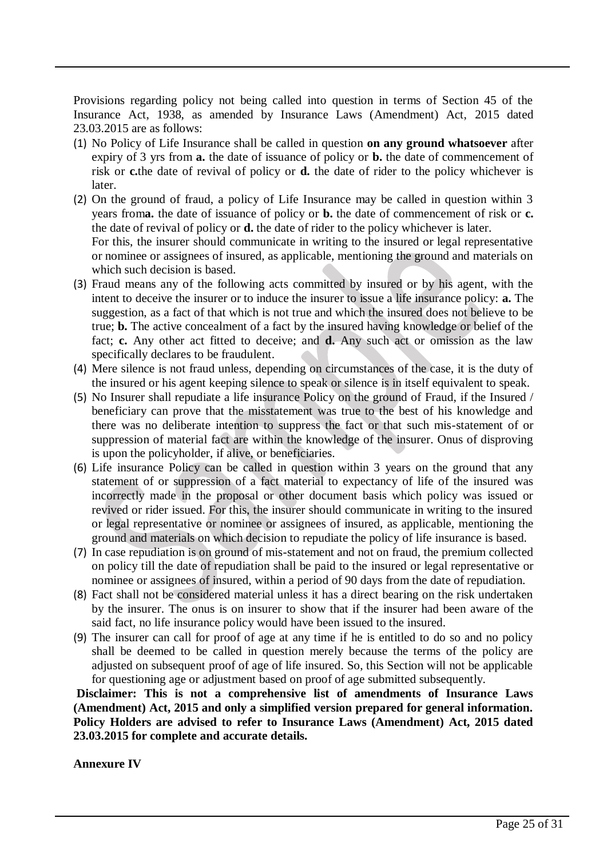Provisions regarding policy not being called into question in terms of Section 45 of the Insurance Act, 1938, as amended by Insurance Laws (Amendment) Act, 2015 dated 23.03.2015 are as follows:

- (1) No Policy of Life Insurance shall be called in question **on any ground whatsoever** after expiry of 3 yrs from **a.** the date of issuance of policy or **b.** the date of commencement of risk or **c.**the date of revival of policy or **d.** the date of rider to the policy whichever is later.
- (2) On the ground of fraud, a policy of Life Insurance may be called in question within 3 years from**a.** the date of issuance of policy or **b.** the date of commencement of risk or **c.** the date of revival of policy or **d.** the date of rider to the policy whichever is later. For this, the insurer should communicate in writing to the insured or legal representative or nominee or assignees of insured, as applicable, mentioning the ground and materials on
- which such decision is based. (3) Fraud means any of the following acts committed by insured or by his agent, with the intent to deceive the insurer or to induce the insurer to issue a life insurance policy: **a.** The suggestion, as a fact of that which is not true and which the insured does not believe to be true; **b.** The active concealment of a fact by the insured having knowledge or belief of the fact; **c.** Any other act fitted to deceive; and **d.** Any such act or omission as the law specifically declares to be fraudulent.
- (4) Mere silence is not fraud unless, depending on circumstances of the case, it is the duty of the insured or his agent keeping silence to speak or silence is in itself equivalent to speak.
- (5) No Insurer shall repudiate a life insurance Policy on the ground of Fraud, if the Insured / beneficiary can prove that the misstatement was true to the best of his knowledge and there was no deliberate intention to suppress the fact or that such mis-statement of or suppression of material fact are within the knowledge of the insurer. Onus of disproving is upon the policyholder, if alive, or beneficiaries.
- (6) Life insurance Policy can be called in question within 3 years on the ground that any statement of or suppression of a fact material to expectancy of life of the insured was incorrectly made in the proposal or other document basis which policy was issued or revived or rider issued. For this, the insurer should communicate in writing to the insured or legal representative or nominee or assignees of insured, as applicable, mentioning the ground and materials on which decision to repudiate the policy of life insurance is based.
- (7) In case repudiation is on ground of mis-statement and not on fraud, the premium collected on policy till the date of repudiation shall be paid to the insured or legal representative or nominee or assignees of insured, within a period of 90 days from the date of repudiation.
- (8) Fact shall not be considered material unless it has a direct bearing on the risk undertaken by the insurer. The onus is on insurer to show that if the insurer had been aware of the said fact, no life insurance policy would have been issued to the insured.
- (9) The insurer can call for proof of age at any time if he is entitled to do so and no policy shall be deemed to be called in question merely because the terms of the policy are adjusted on subsequent proof of age of life insured. So, this Section will not be applicable for questioning age or adjustment based on proof of age submitted subsequently.

**Disclaimer: This is not a comprehensive list of amendments of Insurance Laws (Amendment) Act, 2015 and only a simplified version prepared for general information. Policy Holders are advised to refer to Insurance Laws (Amendment) Act, 2015 dated 23.03.2015 for complete and accurate details.** 

**Annexure IV**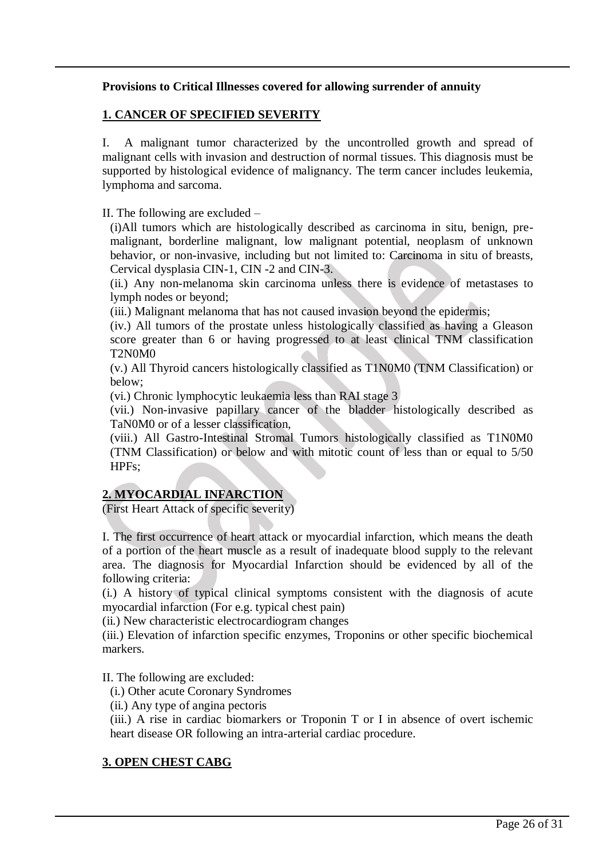### **Provisions to Critical Illnesses covered for allowing surrender of annuity**

#### **1. CANCER OF SPECIFIED SEVERITY**

I. A malignant tumor characterized by the uncontrolled growth and spread of malignant cells with invasion and destruction of normal tissues. This diagnosis must be supported by histological evidence of malignancy. The term cancer includes leukemia, lymphoma and sarcoma.

II. The following are excluded –

(i)All tumors which are histologically described as carcinoma in situ, benign, premalignant, borderline malignant, low malignant potential, neoplasm of unknown behavior, or non-invasive, including but not limited to: Carcinoma in situ of breasts, Cervical dysplasia CIN-1, CIN -2 and CIN-3.

(ii.) Any non-melanoma skin carcinoma unless there is evidence of metastases to lymph nodes or beyond;

(iii.) Malignant melanoma that has not caused invasion beyond the epidermis;

(iv.) All tumors of the prostate unless histologically classified as having a Gleason score greater than 6 or having progressed to at least clinical TNM classification T2N0M0

(v.) All Thyroid cancers histologically classified as T1N0M0 (TNM Classification) or below;

(vi.) Chronic lymphocytic leukaemia less than RAI stage 3

(vii.) Non-invasive papillary cancer of the bladder histologically described as TaN0M0 or of a lesser classification,

(viii.) All Gastro-Intestinal Stromal Tumors histologically classified as T1N0M0 (TNM Classification) or below and with mitotic count of less than or equal to 5/50 HPFs;

## **2. MYOCARDIAL INFARCTION**

(First Heart Attack of specific severity)

I. The first occurrence of heart attack or myocardial infarction, which means the death of a portion of the heart muscle as a result of inadequate blood supply to the relevant area. The diagnosis for Myocardial Infarction should be evidenced by all of the following criteria:

(i.) A history of typical clinical symptoms consistent with the diagnosis of acute myocardial infarction (For e.g. typical chest pain)

(ii.) New characteristic electrocardiogram changes

(iii.) Elevation of infarction specific enzymes, Troponins or other specific biochemical markers.

II. The following are excluded:

(i.) Other acute Coronary Syndromes

(ii.) Any type of angina pectoris

(iii.) A rise in cardiac biomarkers or Troponin T or I in absence of overt ischemic heart disease OR following an intra-arterial cardiac procedure.

### **3. OPEN CHEST CABG**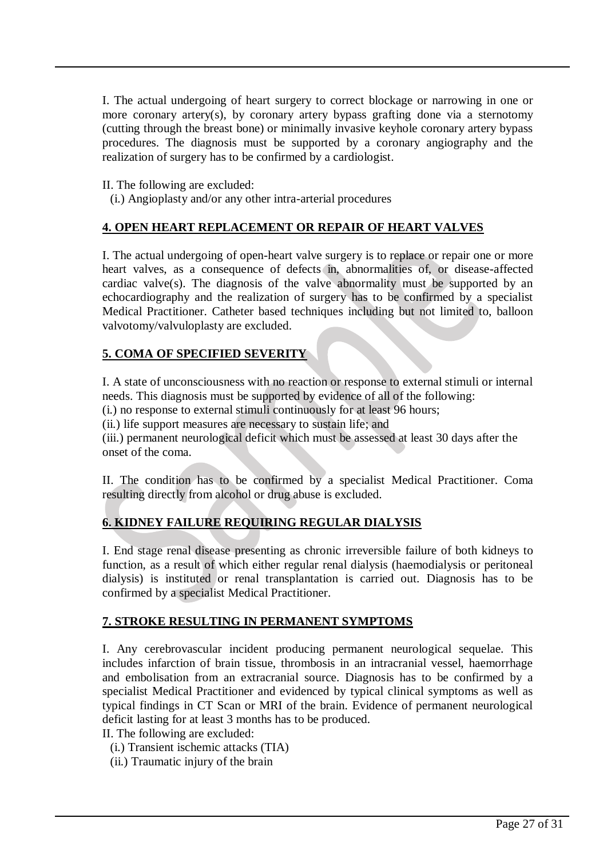I. The actual undergoing of heart surgery to correct blockage or narrowing in one or more coronary artery(s), by coronary artery bypass grafting done via a sternotomy (cutting through the breast bone) or minimally invasive keyhole coronary artery bypass procedures. The diagnosis must be supported by a coronary angiography and the realization of surgery has to be confirmed by a cardiologist.

II. The following are excluded:

(i.) Angioplasty and/or any other intra-arterial procedures

### **4. OPEN HEART REPLACEMENT OR REPAIR OF HEART VALVES**

I. The actual undergoing of open-heart valve surgery is to replace or repair one or more heart valves, as a consequence of defects in, abnormalities of, or disease-affected cardiac valve(s). The diagnosis of the valve abnormality must be supported by an echocardiography and the realization of surgery has to be confirmed by a specialist Medical Practitioner. Catheter based techniques including but not limited to, balloon valvotomy/valvuloplasty are excluded.

## **5. COMA OF SPECIFIED SEVERITY**

I. A state of unconsciousness with no reaction or response to external stimuli or internal needs. This diagnosis must be supported by evidence of all of the following:

(i.) no response to external stimuli continuously for at least 96 hours;

(ii.) life support measures are necessary to sustain life; and

(iii.) permanent neurological deficit which must be assessed at least 30 days after the onset of the coma.

II. The condition has to be confirmed by a specialist Medical Practitioner. Coma resulting directly from alcohol or drug abuse is excluded.

## **6. KIDNEY FAILURE REQUIRING REGULAR DIALYSIS**

I. End stage renal disease presenting as chronic irreversible failure of both kidneys to function, as a result of which either regular renal dialysis (haemodialysis or peritoneal dialysis) is instituted or renal transplantation is carried out. Diagnosis has to be confirmed by a specialist Medical Practitioner.

### **7. STROKE RESULTING IN PERMANENT SYMPTOMS**

I. Any cerebrovascular incident producing permanent neurological sequelae. This includes infarction of brain tissue, thrombosis in an intracranial vessel, haemorrhage and embolisation from an extracranial source. Diagnosis has to be confirmed by a specialist Medical Practitioner and evidenced by typical clinical symptoms as well as typical findings in CT Scan or MRI of the brain. Evidence of permanent neurological deficit lasting for at least 3 months has to be produced.

II. The following are excluded:

(i.) Transient ischemic attacks (TIA)

(ii.) Traumatic injury of the brain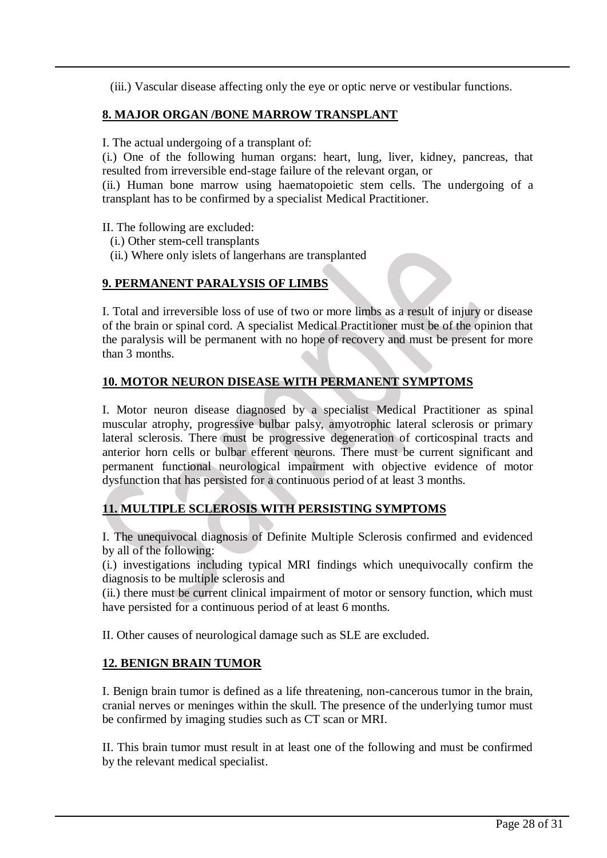(iii.) Vascular disease affecting only the eye or optic nerve or vestibular functions.

## **8. MAJOR ORGAN /BONE MARROW TRANSPLANT**

I. The actual undergoing of a transplant of:

(i.) One of the following human organs: heart, lung, liver, kidney, pancreas, that resulted from irreversible end-stage failure of the relevant organ, or

(ii.) Human bone marrow using haematopoietic stem cells. The undergoing of a transplant has to be confirmed by a specialist Medical Practitioner.

II. The following are excluded:

- (i.) Other stem-cell transplants
- (ii.) Where only islets of langerhans are transplanted

## **9. PERMANENT PARALYSIS OF LIMBS**

I. Total and irreversible loss of use of two or more limbs as a result of injury or disease of the brain or spinal cord. A specialist Medical Practitioner must be of the opinion that the paralysis will be permanent with no hope of recovery and must be present for more than 3 months.

### **10. MOTOR NEURON DISEASE WITH PERMANENT SYMPTOMS**

I. Motor neuron disease diagnosed by a specialist Medical Practitioner as spinal muscular atrophy, progressive bulbar palsy, amyotrophic lateral sclerosis or primary lateral sclerosis. There must be progressive degeneration of corticospinal tracts and anterior horn cells or bulbar efferent neurons. There must be current significant and permanent functional neurological impairment with objective evidence of motor dysfunction that has persisted for a continuous period of at least 3 months.

## **11. MULTIPLE SCLEROSIS WITH PERSISTING SYMPTOMS**

I. The unequivocal diagnosis of Definite Multiple Sclerosis confirmed and evidenced by all of the following:

(i.) investigations including typical MRI findings which unequivocally confirm the diagnosis to be multiple sclerosis and

(ii.) there must be current clinical impairment of motor or sensory function, which must have persisted for a continuous period of at least 6 months.

II. Other causes of neurological damage such as SLE are excluded.

### **12. BENIGN BRAIN TUMOR**

I. Benign brain tumor is defined as a life threatening, non-cancerous tumor in the brain, cranial nerves or meninges within the skull. The presence of the underlying tumor must be confirmed by imaging studies such as CT scan or MRI.

II. This brain tumor must result in at least one of the following and must be confirmed by the relevant medical specialist.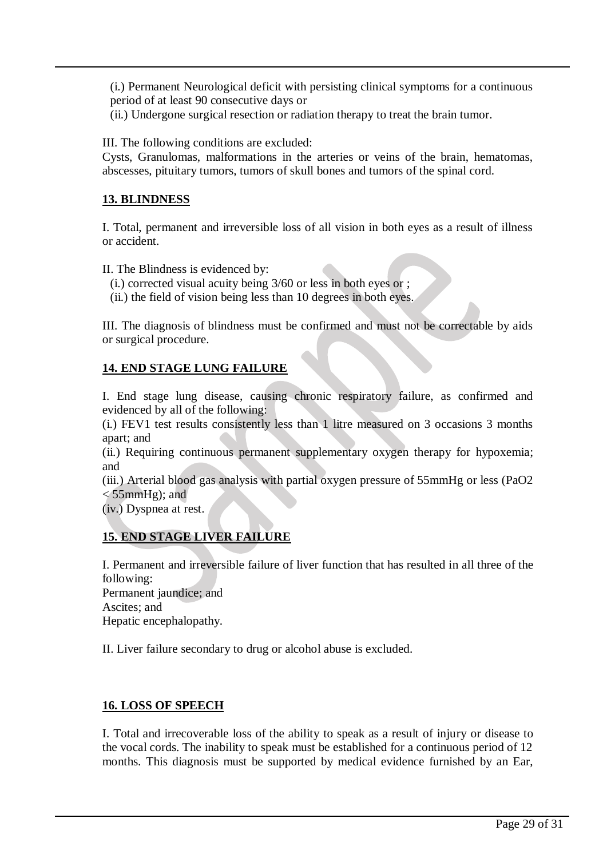(i.) Permanent Neurological deficit with persisting clinical symptoms for a continuous period of at least 90 consecutive days or

(ii.) Undergone surgical resection or radiation therapy to treat the brain tumor.

III. The following conditions are excluded:

Cysts, Granulomas, malformations in the arteries or veins of the brain, hematomas, abscesses, pituitary tumors, tumors of skull bones and tumors of the spinal cord.

#### **13. BLINDNESS**

I. Total, permanent and irreversible loss of all vision in both eyes as a result of illness or accident.

II. The Blindness is evidenced by:

- (i.) corrected visual acuity being 3/60 or less in both eyes or ;
- (ii.) the field of vision being less than 10 degrees in both eyes.

III. The diagnosis of blindness must be confirmed and must not be correctable by aids or surgical procedure.

### **14. END STAGE LUNG FAILURE**

I. End stage lung disease, causing chronic respiratory failure, as confirmed and evidenced by all of the following:

(i.) FEV1 test results consistently less than 1 litre measured on 3 occasions 3 months apart; and

(ii.) Requiring continuous permanent supplementary oxygen therapy for hypoxemia; and

(iii.) Arterial blood gas analysis with partial oxygen pressure of 55mmHg or less (PaO2  $<$  55mmHg); and

(iv.) Dyspnea at rest.

### **15. END STAGE LIVER FAILURE**

I. Permanent and irreversible failure of liver function that has resulted in all three of the following:

Permanent jaundice; and Ascites; and Hepatic encephalopathy.

II. Liver failure secondary to drug or alcohol abuse is excluded.

#### **16. LOSS OF SPEECH**

I. Total and irrecoverable loss of the ability to speak as a result of injury or disease to the vocal cords. The inability to speak must be established for a continuous period of 12 months. This diagnosis must be supported by medical evidence furnished by an Ear,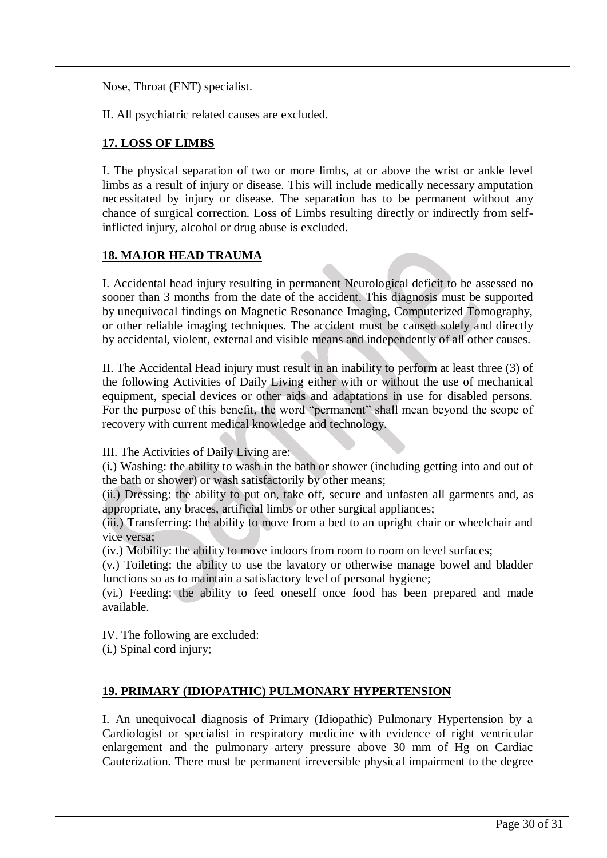Nose, Throat (ENT) specialist.

II. All psychiatric related causes are excluded.

#### **17. LOSS OF LIMBS**

I. The physical separation of two or more limbs, at or above the wrist or ankle level limbs as a result of injury or disease. This will include medically necessary amputation necessitated by injury or disease. The separation has to be permanent without any chance of surgical correction. Loss of Limbs resulting directly or indirectly from selfinflicted injury, alcohol or drug abuse is excluded.

#### **18. MAJOR HEAD TRAUMA**

I. Accidental head injury resulting in permanent Neurological deficit to be assessed no sooner than 3 months from the date of the accident. This diagnosis must be supported by unequivocal findings on Magnetic Resonance Imaging, Computerized Tomography, or other reliable imaging techniques. The accident must be caused solely and directly by accidental, violent, external and visible means and independently of all other causes.

II. The Accidental Head injury must result in an inability to perform at least three (3) of the following Activities of Daily Living either with or without the use of mechanical equipment, special devices or other aids and adaptations in use for disabled persons. For the purpose of this benefit, the word "permanent" shall mean beyond the scope of recovery with current medical knowledge and technology.

III. The Activities of Daily Living are:

(i.) Washing: the ability to wash in the bath or shower (including getting into and out of the bath or shower) or wash satisfactorily by other means;

(ii.) Dressing: the ability to put on, take off, secure and unfasten all garments and, as appropriate, any braces, artificial limbs or other surgical appliances;

(iii.) Transferring: the ability to move from a bed to an upright chair or wheelchair and vice versa;

(iv.) Mobility: the ability to move indoors from room to room on level surfaces;

(v.) Toileting: the ability to use the lavatory or otherwise manage bowel and bladder functions so as to maintain a satisfactory level of personal hygiene;

(vi.) Feeding: the ability to feed oneself once food has been prepared and made available.

IV. The following are excluded:

(i.) Spinal cord injury;

### **19. PRIMARY (IDIOPATHIC) PULMONARY HYPERTENSION**

I. An unequivocal diagnosis of Primary (Idiopathic) Pulmonary Hypertension by a Cardiologist or specialist in respiratory medicine with evidence of right ventricular enlargement and the pulmonary artery pressure above 30 mm of Hg on Cardiac Cauterization. There must be permanent irreversible physical impairment to the degree